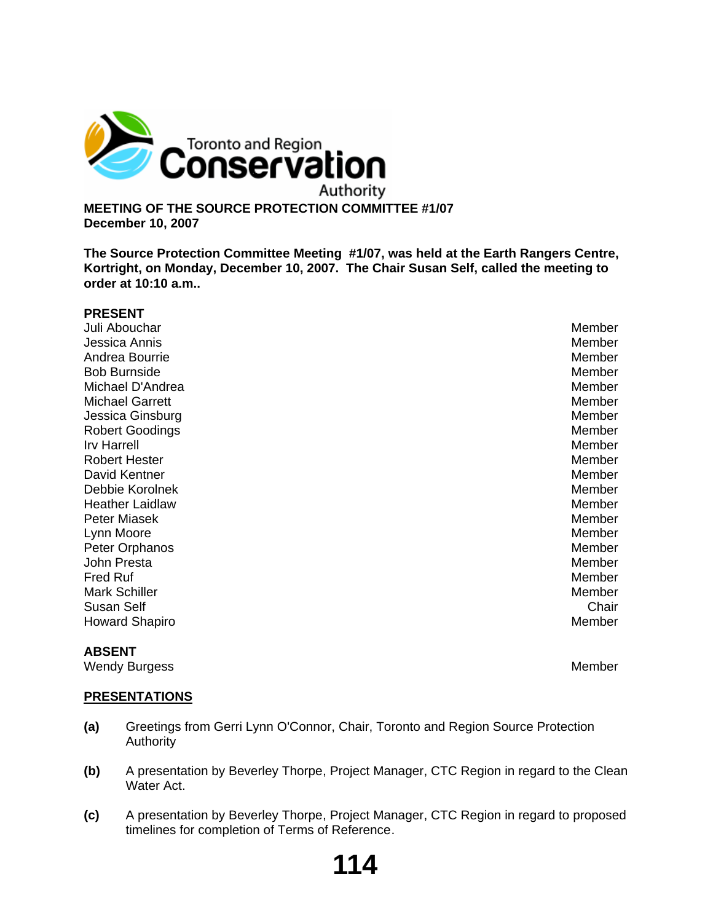

**MEETING OF THE SOURCE PROTECTION COMMITTEE #1/07 December 10, 2007**

**The Source Protection Committee Meeting #1/07, was held at the Earth Rangers Centre, Kortright, on Monday, December 10, 2007. The Chair Susan Self, called the meeting to order at 10:10 a.m..**

| <b>PRESENT</b>         |        |
|------------------------|--------|
| Juli Abouchar          | Member |
| Jessica Annis          | Member |
| Andrea Bourrie         | Member |
| <b>Bob Burnside</b>    | Member |
| Michael D'Andrea       | Member |
| <b>Michael Garrett</b> | Member |
| Jessica Ginsburg       | Member |
| <b>Robert Goodings</b> | Member |
| <b>Irv Harrell</b>     | Member |
| <b>Robert Hester</b>   | Member |
| David Kentner          | Member |
| Debbie Korolnek        | Member |
| <b>Heather Laidlaw</b> | Member |
| Peter Miasek           | Member |
| Lynn Moore             | Member |
| Peter Orphanos         | Member |
| John Presta            | Member |
| <b>Fred Ruf</b>        | Member |
| <b>Mark Schiller</b>   | Member |
| Susan Self             | Chair  |
| <b>Howard Shapiro</b>  | Member |
|                        |        |

## **ABSENT**

Wendy Burgess **Member** Member

## **PRESENTATIONS**

- **(a)** Greetings from Gerri Lynn O'Connor, Chair, Toronto and Region Source Protection **Authority**
- **(b)** A presentation by Beverley Thorpe, Project Manager, CTC Region in regard to the Clean Water Act.
- **(c)** A presentation by Beverley Thorpe, Project Manager, CTC Region in regard to proposed timelines for completion of Terms of Reference.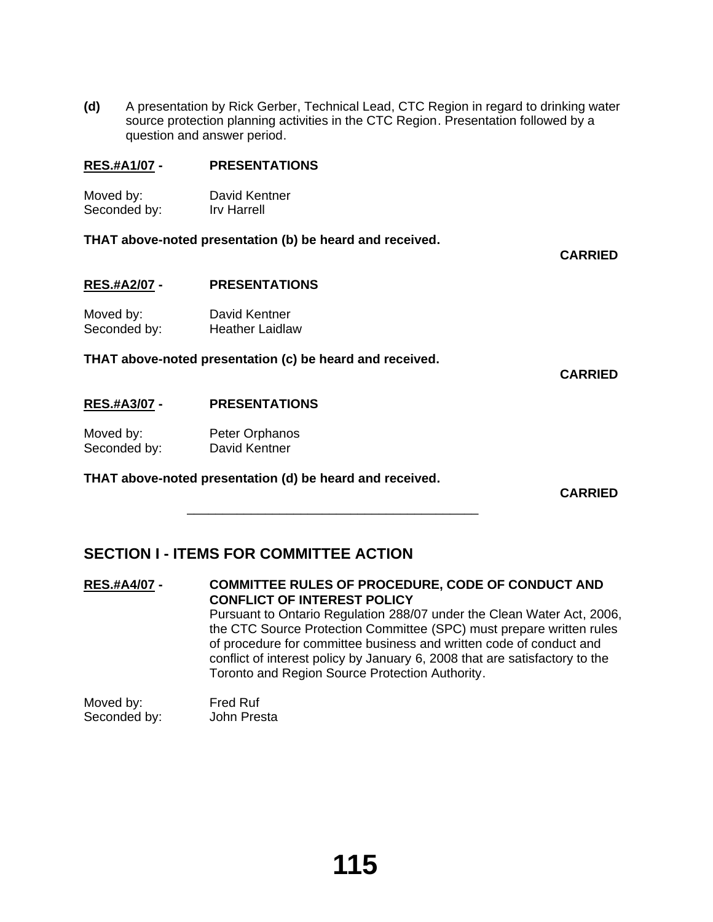**(d)** A presentation by Rick Gerber, Technical Lead, CTC Region in regard to drinking water source protection planning activities in the CTC Region. Presentation followed by a question and answer period.

## **RES.#A1/07 - PRESENTATIONS**

| Moved by:    | David Kentner |
|--------------|---------------|
| Seconded by: | Irv Harrell   |

## **THAT above-noted presentation (b) be heard and received.**

**CARRIED**

**RES.#A2/07 - PRESENTATIONS**

Moved by: David Kentner Seconded by: Heather Laidlaw

**THAT above-noted presentation (c) be heard and received.**

**CARRIED**

## **RES.#A3/07 - PRESENTATIONS**

Moved by: Peter Orphanos<br>
Seconded by: David Kentner Seconded by:

## **THAT above-noted presentation (d) be heard and received.**

 $\overline{\phantom{a}}$  ,  $\overline{\phantom{a}}$  ,  $\overline{\phantom{a}}$  ,  $\overline{\phantom{a}}$  ,  $\overline{\phantom{a}}$  ,  $\overline{\phantom{a}}$  ,  $\overline{\phantom{a}}$  ,  $\overline{\phantom{a}}$  ,  $\overline{\phantom{a}}$  ,  $\overline{\phantom{a}}$  ,  $\overline{\phantom{a}}$  ,  $\overline{\phantom{a}}$  ,  $\overline{\phantom{a}}$  ,  $\overline{\phantom{a}}$  ,  $\overline{\phantom{a}}$  ,  $\overline{\phantom{a}}$ 

**CARRIED**

# **SECTION I - ITEMS FOR COMMITTEE ACTION**

# **RES.#A4/07 - COMMITTEE RULES OF PROCEDURE, CODE OF CONDUCT AND CONFLICT OF INTEREST POLICY** Pursuant to Ontario Regulation 288/07 under the Clean Water Act, 2006, the CTC Source Protection Committee (SPC) must prepare written rules of procedure for committee business and written code of conduct and conflict of interest policy by January 6, 2008 that are satisfactory to the Toronto and Region Source Protection Authority.

Moved by: Fred Ruf Seconded by: John Presta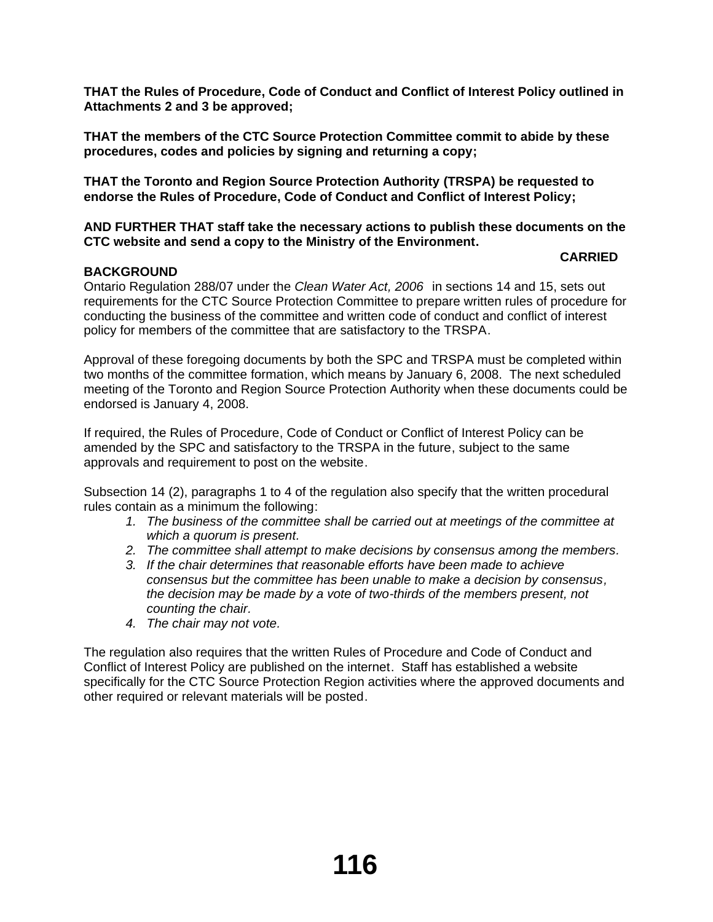**THAT the Rules of Procedure, Code of Conduct and Conflict of Interest Policy outlined in Attachments 2 and 3 be approved;**

**THAT the members of the CTC Source Protection Committee commit to abide by these procedures, codes and policies by signing and returning a copy;** 

**THAT the Toronto and Region Source Protection Authority (TRSPA) be requested to endorse the Rules of Procedure, Code of Conduct and Conflict of Interest Policy;**

**AND FURTHER THAT staff take the necessary actions to publish these documents on the CTC website and send a copy to the Ministry of the Environment.**

## **CARRIED**

# **BACKGROUND**

Ontario Regulation 288/07 under the *Clean Water Act, 2006* in sections 14 and 15, sets out requirements for the CTC Source Protection Committee to prepare written rules of procedure for conducting the business of the committee and written code of conduct and conflict of interest policy for members of the committee that are satisfactory to the TRSPA.

Approval of these foregoing documents by both the SPC and TRSPA must be completed within two months of the committee formation, which means by January 6, 2008. The next scheduled meeting of the Toronto and Region Source Protection Authority when these documents could be endorsed is January 4, 2008.

If required, the Rules of Procedure, Code of Conduct or Conflict of Interest Policy can be amended by the SPC and satisfactory to the TRSPA in the future, subject to the same approvals and requirement to post on the website.

Subsection 14 (2), paragraphs 1 to 4 of the regulation also specify that the written procedural rules contain as a minimum the following:

- *1. The business of the committee shall be carried out at meetings of the committee at which a quorum is present.*
- *2. The committee shall attempt to make decisions by consensus among the members.*
- *3. If the chair determines that reasonable efforts have been made to achieve consensus but the committee has been unable to make a decision by consensus, the decision may be made by a vote of two-thirds of the members present, not counting the chair.*
- *4. The chair may not vote.*

The regulation also requires that the written Rules of Procedure and Code of Conduct and Conflict of Interest Policy are published on the internet. Staff has established a website specifically for the CTC Source Protection Region activities where the approved documents and other required or relevant materials will be posted.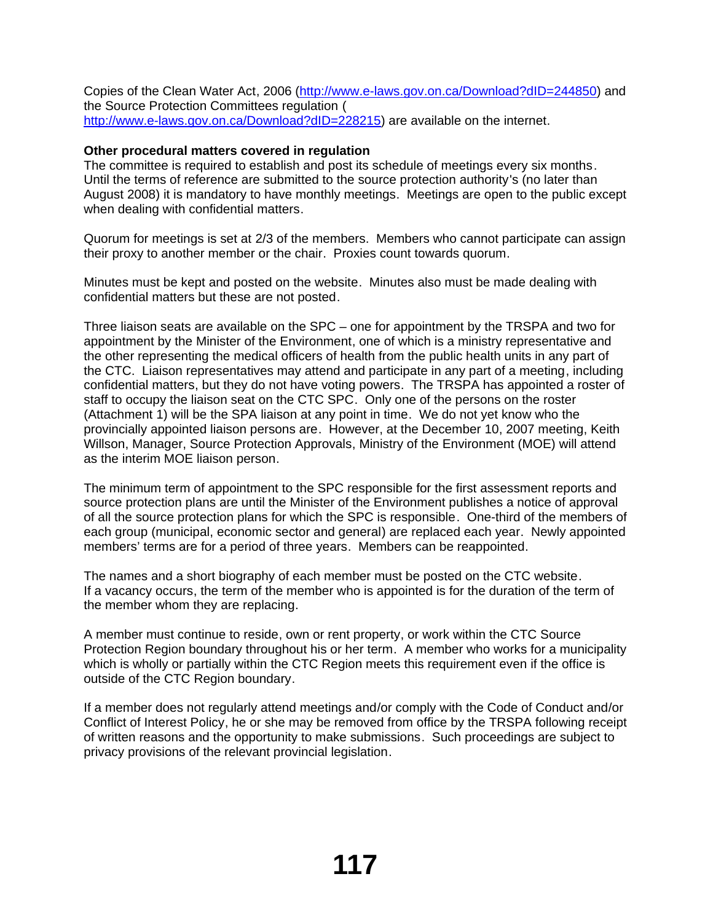Copies of the Clean Water Act, 2006 (http://www.e-laws.gov.on.ca/Download?dID=244850) and the Source Protection Committees regulation ( http://www.e-laws.gov.on.ca/Download?dID=228215) are available on the internet.

## **Other procedural matters covered in regulation**

The committee is required to establish and post its schedule of meetings every six months. Until the terms of reference are submitted to the source protection authority's (no later than August 2008) it is mandatory to have monthly meetings. Meetings are open to the public except when dealing with confidential matters.

Quorum for meetings is set at 2/3 of the members. Members who cannot participate can assign their proxy to another member or the chair. Proxies count towards quorum.

Minutes must be kept and posted on the website. Minutes also must be made dealing with confidential matters but these are not posted.

Three liaison seats are available on the SPC – one for appointment by the TRSPA and two for appointment by the Minister of the Environment, one of which is a ministry representative and the other representing the medical officers of health from the public health units in any part of the CTC. Liaison representatives may attend and participate in any part of a meeting, including confidential matters, but they do not have voting powers. The TRSPA has appointed a roster of staff to occupy the liaison seat on the CTC SPC. Only one of the persons on the roster (Attachment 1) will be the SPA liaison at any point in time. We do not yet know who the provincially appointed liaison persons are. However, at the December 10, 2007 meeting, Keith Willson, Manager, Source Protection Approvals, Ministry of the Environment (MOE) will attend as the interim MOE liaison person.

The minimum term of appointment to the SPC responsible for the first assessment reports and source protection plans are until the Minister of the Environment publishes a notice of approval of all the source protection plans for which the SPC is responsible. One-third of the members of each group (municipal, economic sector and general) are replaced each year. Newly appointed members' terms are for a period of three years. Members can be reappointed.

The names and a short biography of each member must be posted on the CTC website. If a vacancy occurs, the term of the member who is appointed is for the duration of the term of the member whom they are replacing.

A member must continue to reside, own or rent property, or work within the CTC Source Protection Region boundary throughout his or her term. A member who works for a municipality which is wholly or partially within the CTC Region meets this requirement even if the office is outside of the CTC Region boundary.

If a member does not regularly attend meetings and/or comply with the Code of Conduct and/or Conflict of Interest Policy, he or she may be removed from office by the TRSPA following receipt of written reasons and the opportunity to make submissions. Such proceedings are subject to privacy provisions of the relevant provincial legislation.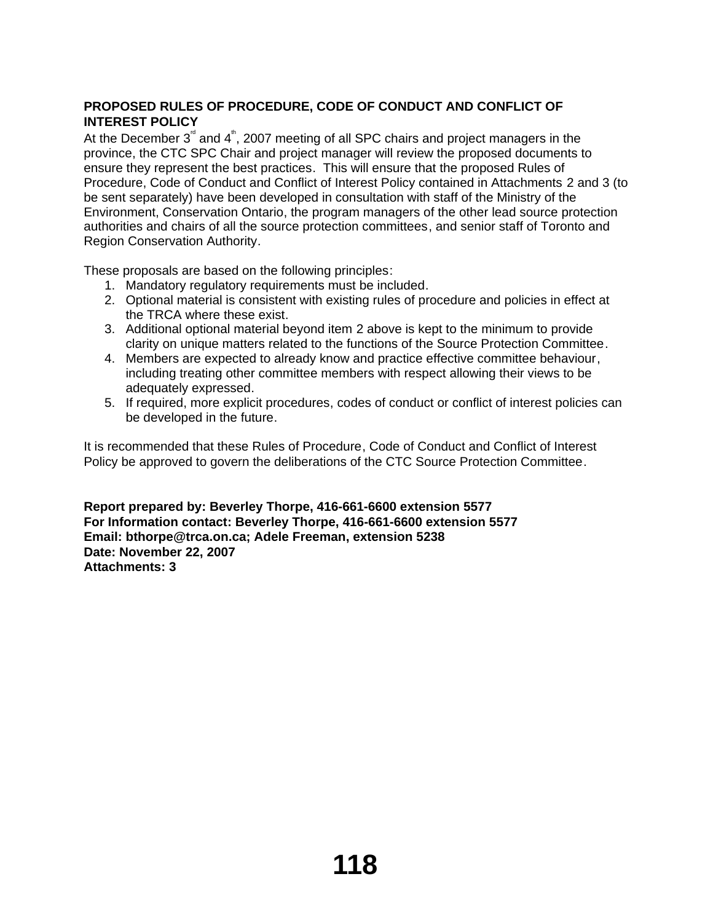# **PROPOSED RULES OF PROCEDURE, CODE OF CONDUCT AND CONFLICT OF INTEREST POLICY**

At the December  $3^{\degree}$  and  $4^{\degree}$ , 2007 meeting of all SPC chairs and project managers in the province, the CTC SPC Chair and project manager will review the proposed documents to ensure they represent the best practices. This will ensure that the proposed Rules of Procedure, Code of Conduct and Conflict of Interest Policy contained in Attachments 2 and 3 (to be sent separately) have been developed in consultation with staff of the Ministry of the Environment, Conservation Ontario, the program managers of the other lead source protection authorities and chairs of all the source protection committees, and senior staff of Toronto and Region Conservation Authority.

These proposals are based on the following principles:

- 1. Mandatory regulatory requirements must be included.
- 2. Optional material is consistent with existing rules of procedure and policies in effect at the TRCA where these exist.
- 3. Additional optional material beyond item 2 above is kept to the minimum to provide clarity on unique matters related to the functions of the Source Protection Committee.
- 4. Members are expected to already know and practice effective committee behaviour, including treating other committee members with respect allowing their views to be adequately expressed.
- 5. If required, more explicit procedures, codes of conduct or conflict of interest policies can be developed in the future.

It is recommended that these Rules of Procedure, Code of Conduct and Conflict of Interest Policy be approved to govern the deliberations of the CTC Source Protection Committee.

**Report prepared by: Beverley Thorpe, 416-661-6600 extension 5577 For Information contact: Beverley Thorpe, 416-661-6600 extension 5577 Email: bthorpe@trca.on.ca; Adele Freeman, extension 5238 Date: November 22, 2007 Attachments: 3**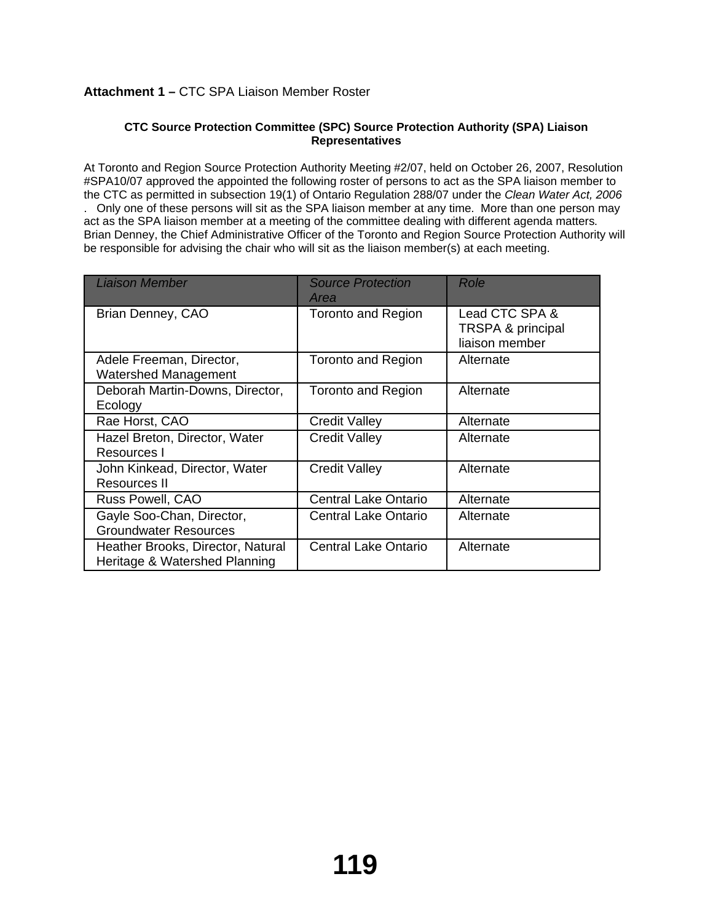# **Attachment 1 –** CTC SPA Liaison Member Roster

#### **CTC Source Protection Committee (SPC) Source Protection Authority (SPA) Liaison Representatives**

At Toronto and Region Source Protection Authority Meeting #2/07, held on October 26, 2007, Resolution #SPA10/07 approved the appointed the following roster of persons to act as the SPA liaison member to the CTC as permitted in subsection 19(1) of Ontario Regulation 288/07 under the *Clean Water Act, 2006* . Only one of these persons will sit as the SPA liaison member at any time. More than one person may act as the SPA liaison member at a meeting of the committee dealing with different agenda matters. Brian Denney, the Chief Administrative Officer of the Toronto and Region Source Protection Authority will be responsible for advising the chair who will sit as the liaison member(s) at each meeting.

| Liaison Member                                                     | <b>Source Protection</b><br>Area | Role                                                  |
|--------------------------------------------------------------------|----------------------------------|-------------------------------------------------------|
| Brian Denney, CAO                                                  | <b>Toronto and Region</b>        | Lead CTC SPA &<br>TRSPA & principal<br>liaison member |
| Adele Freeman, Director,<br>Watershed Management                   | <b>Toronto and Region</b>        | Alternate                                             |
| Deborah Martin-Downs, Director,<br>Ecology                         | <b>Toronto and Region</b>        | Alternate                                             |
| Rae Horst, CAO                                                     | <b>Credit Valley</b>             | Alternate                                             |
| Hazel Breton, Director, Water<br>Resources I                       | <b>Credit Valley</b>             | Alternate                                             |
| John Kinkead, Director, Water<br>Resources II                      | <b>Credit Valley</b>             | Alternate                                             |
| Russ Powell, CAO                                                   | <b>Central Lake Ontario</b>      | Alternate                                             |
| Gayle Soo-Chan, Director,<br><b>Groundwater Resources</b>          | Central Lake Ontario             | Alternate                                             |
| Heather Brooks, Director, Natural<br>Heritage & Watershed Planning | <b>Central Lake Ontario</b>      | Alternate                                             |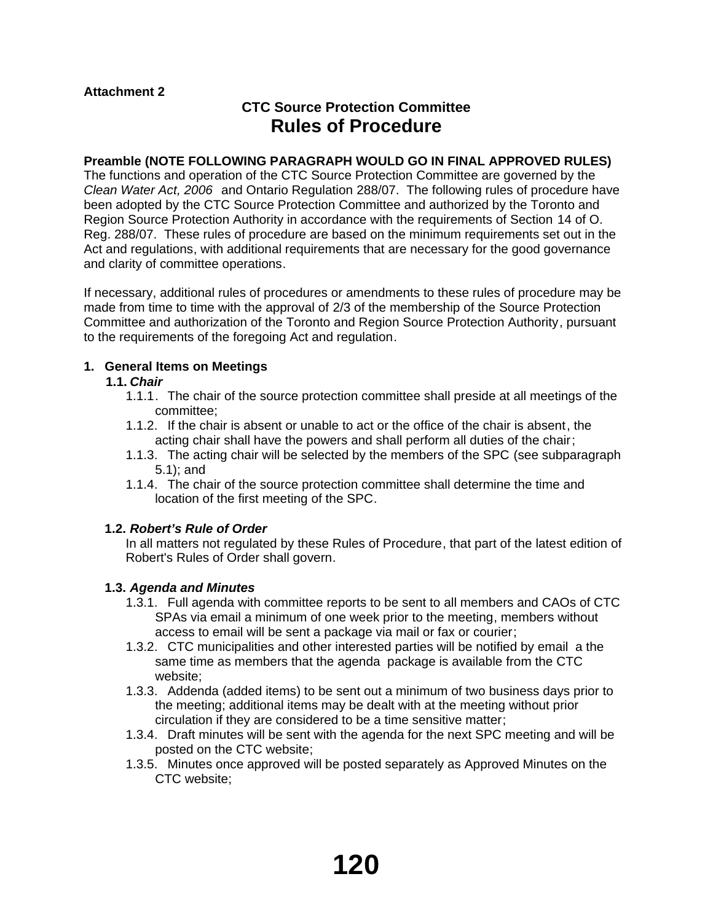# **CTC Source Protection Committee Rules of Procedure**

## **Preamble (NOTE FOLLOWING PARAGRAPH WOULD GO IN FINAL APPROVED RULES)**

The functions and operation of the CTC Source Protection Committee are governed by the *Clean Water Act, 2006* and Ontario Regulation 288/07. The following rules of procedure have been adopted by the CTC Source Protection Committee and authorized by the Toronto and Region Source Protection Authority in accordance with the requirements of Section 14 of O. Reg. 288/07. These rules of procedure are based on the minimum requirements set out in the Act and regulations, with additional requirements that are necessary for the good governance and clarity of committee operations.

If necessary, additional rules of procedures or amendments to these rules of procedure may be made from time to time with the approval of 2/3 of the membership of the Source Protection Committee and authorization of the Toronto and Region Source Protection Authority, pursuant to the requirements of the foregoing Act and regulation.

## **1. General Items on Meetings**

## **1.1.** *Chair*

- 1.1.1. The chair of the source protection committee shall preside at all meetings of the committee;
- 1.1.2. If the chair is absent or unable to act or the office of the chair is absent, the acting chair shall have the powers and shall perform all duties of the chair;
- 1.1.3. The acting chair will be selected by the members of the SPC (see subparagraph 5.1); and
- 1.1.4. The chair of the source protection committee shall determine the time and location of the first meeting of the SPC.

## **1.2.** *Robert's Rule of Order*

In all matters not regulated by these Rules of Procedure, that part of the latest edition of Robert's Rules of Order shall govern.

## **1.3.** *Agenda and Minutes*

- 1.3.1. Full agenda with committee reports to be sent to all members and CAOs of CTC SPAs via email a minimum of one week prior to the meeting, members without access to email will be sent a package via mail or fax or courier;
- 1.3.2. CTC municipalities and other interested parties will be notified by email a the same time as members that the agenda package is available from the CTC website;
- 1.3.3. Addenda (added items) to be sent out a minimum of two business days prior to the meeting; additional items may be dealt with at the meeting without prior circulation if they are considered to be a time sensitive matter;
- 1.3.4. Draft minutes will be sent with the agenda for the next SPC meeting and will be posted on the CTC website;
- 1.3.5. Minutes once approved will be posted separately as Approved Minutes on the CTC website;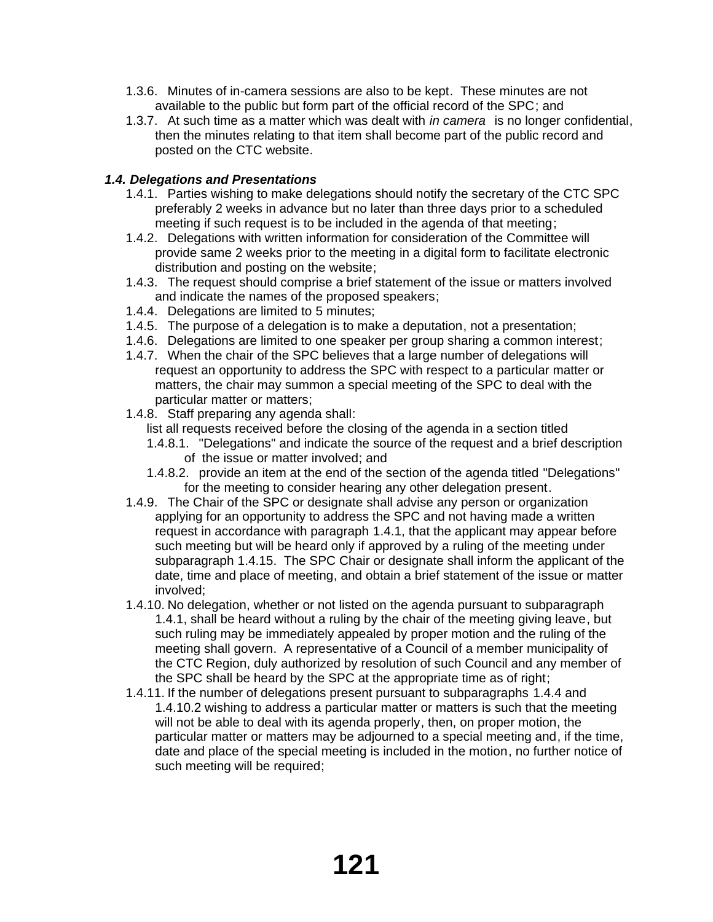- 1.3.6. Minutes of in-camera sessions are also to be kept. These minutes are not available to the public but form part of the official record of the SPC; and
- 1.3.7. At such time as a matter which was dealt with *in camera* is no longer confidential, then the minutes relating to that item shall become part of the public record and posted on the CTC website.

# *1.4. Delegations and Presentations*

- 1.4.1. Parties wishing to make delegations should notify the secretary of the CTC SPC preferably 2 weeks in advance but no later than three days prior to a scheduled meeting if such request is to be included in the agenda of that meeting;
- 1.4.2. Delegations with written information for consideration of the Committee will provide same 2 weeks prior to the meeting in a digital form to facilitate electronic distribution and posting on the website;
- 1.4.3. The request should comprise a brief statement of the issue or matters involved and indicate the names of the proposed speakers;
- 1.4.4. Delegations are limited to 5 minutes;
- 1.4.5. The purpose of a delegation is to make a deputation, not a presentation;
- 1.4.6. Delegations are limited to one speaker per group sharing a common interest;
- 1.4.7. When the chair of the SPC believes that a large number of delegations will request an opportunity to address the SPC with respect to a particular matter or matters, the chair may summon a special meeting of the SPC to deal with the particular matter or matters;
- 1.4.8. Staff preparing any agenda shall:
	- list all requests received before the closing of the agenda in a section titled
	- 1.4.8.1. "Delegations" and indicate the source of the request and a brief description of the issue or matter involved; and
	- 1.4.8.2. provide an item at the end of the section of the agenda titled "Delegations" for the meeting to consider hearing any other delegation present.
- 1.4.9. The Chair of the SPC or designate shall advise any person or organization applying for an opportunity to address the SPC and not having made a written request in accordance with paragraph 1.4.1, that the applicant may appear before such meeting but will be heard only if approved by a ruling of the meeting under subparagraph 1.4.15. The SPC Chair or designate shall inform the applicant of the date, time and place of meeting, and obtain a brief statement of the issue or matter involved;
- 1.4.10. No delegation, whether or not listed on the agenda pursuant to subparagraph 1.4.1, shall be heard without a ruling by the chair of the meeting giving leave, but such ruling may be immediately appealed by proper motion and the ruling of the meeting shall govern. A representative of a Council of a member municipality of the CTC Region, duly authorized by resolution of such Council and any member of the SPC shall be heard by the SPC at the appropriate time as of right;
- 1.4.11. If the number of delegations present pursuant to subparagraphs 1.4.4 and 1.4.10.2 wishing to address a particular matter or matters is such that the meeting will not be able to deal with its agenda properly, then, on proper motion, the particular matter or matters may be adjourned to a special meeting and, if the time, date and place of the special meeting is included in the motion, no further notice of such meeting will be required;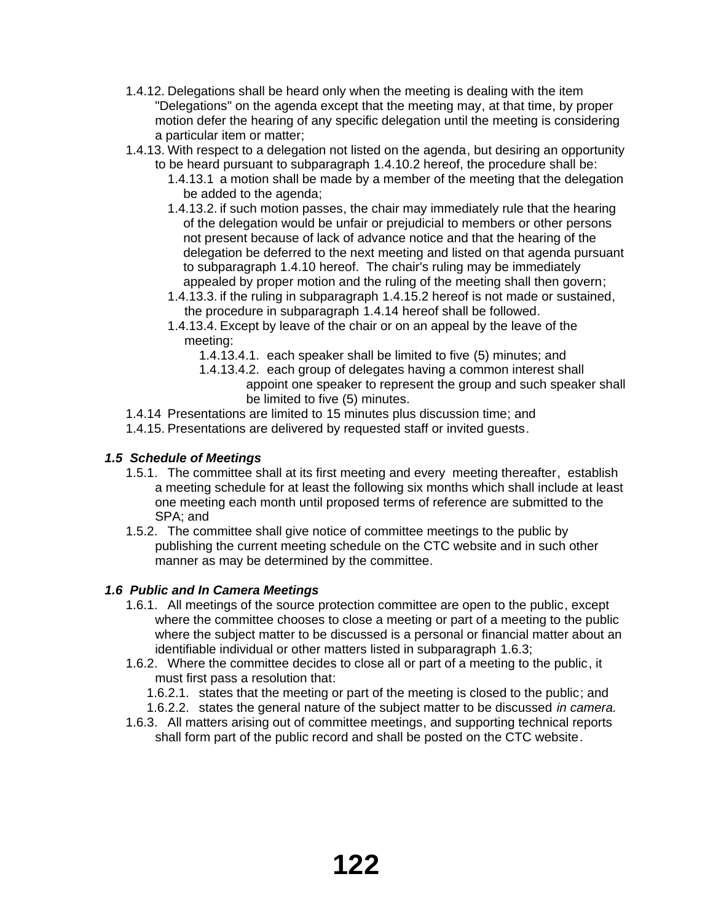- 1.4.12. Delegations shall be heard only when the meeting is dealing with the item "Delegations" on the agenda except that the meeting may, at that time, by proper motion defer the hearing of any specific delegation until the meeting is considering a particular item or matter;
- 1.4.13. With respect to a delegation not listed on the agenda, but desiring an opportunity to be heard pursuant to subparagraph 1.4.10.2 hereof, the procedure shall be:
	- 1.4.13.1 a motion shall be made by a member of the meeting that the delegation be added to the agenda;
	- 1.4.13.2. if such motion passes, the chair may immediately rule that the hearing of the delegation would be unfair or prejudicial to members or other persons not present because of lack of advance notice and that the hearing of the delegation be deferred to the next meeting and listed on that agenda pursuant to subparagraph 1.4.10 hereof. The chair's ruling may be immediately appealed by proper motion and the ruling of the meeting shall then govern;
	- 1.4.13.3. if the ruling in subparagraph 1.4.15.2 hereof is not made or sustained, the procedure in subparagraph 1.4.14 hereof shall be followed.
	- 1.4.13.4. Except by leave of the chair or on an appeal by the leave of the meeting:
		- 1.4.13.4.1. each speaker shall be limited to five (5) minutes; and
		- 1.4.13.4.2. each group of delegates having a common interest shall appoint one speaker to represent the group and such speaker shall be limited to five (5) minutes.
- 1.4.14 Presentations are limited to 15 minutes plus discussion time; and
- 1.4.15. Presentations are delivered by requested staff or invited guests.

# *1.5 Schedule of Meetings*

- 1.5.1. The committee shall at its first meeting and every meeting thereafter, establish a meeting schedule for at least the following six months which shall include at least one meeting each month until proposed terms of reference are submitted to the SPA; and
- 1.5.2. The committee shall give notice of committee meetings to the public by publishing the current meeting schedule on the CTC website and in such other manner as may be determined by the committee.

## *1.6 Public and In Camera Meetings*

- 1.6.1. All meetings of the source protection committee are open to the public, except where the committee chooses to close a meeting or part of a meeting to the public where the subject matter to be discussed is a personal or financial matter about an identifiable individual or other matters listed in subparagraph 1.6.3;
- 1.6.2. Where the committee decides to close all or part of a meeting to the public, it must first pass a resolution that:
	- 1.6.2.1. states that the meeting or part of the meeting is closed to the public; and
	- 1.6.2.2. states the general nature of the subject matter to be discussed *in camera.*
- 1.6.3. All matters arising out of committee meetings, and supporting technical reports shall form part of the public record and shall be posted on the CTC website.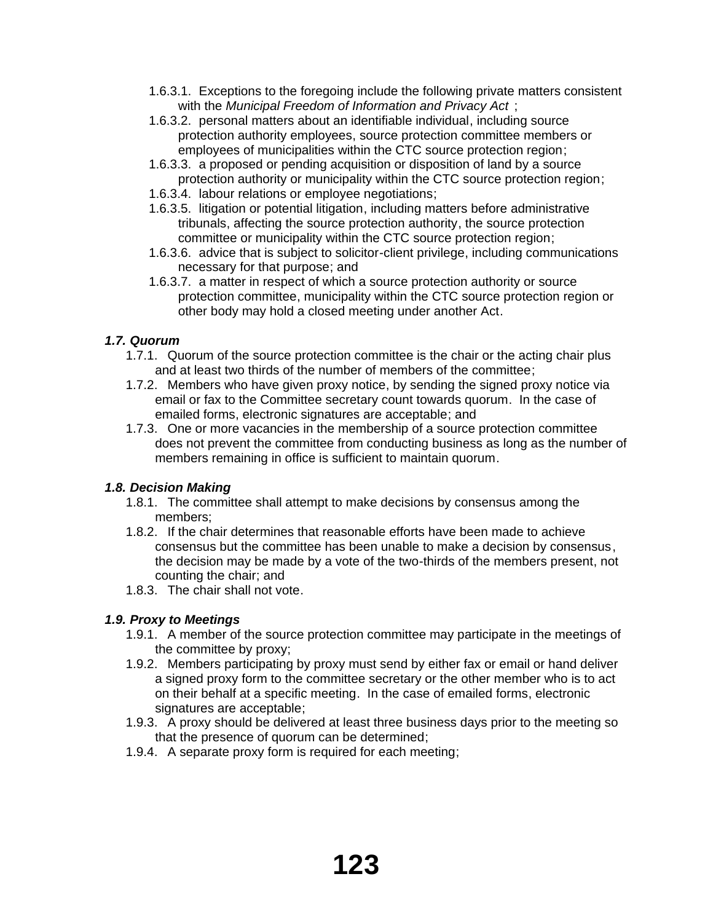- 1.6.3.1. Exceptions to the foregoing include the following private matters consistent with the *Municipal Freedom of Information and Privacy Act* ;
- 1.6.3.2. personal matters about an identifiable individual, including source protection authority employees, source protection committee members or employees of municipalities within the CTC source protection region;
- 1.6.3.3. a proposed or pending acquisition or disposition of land by a source protection authority or municipality within the CTC source protection region;
- 1.6.3.4. labour relations or employee negotiations;
- 1.6.3.5. litigation or potential litigation, including matters before administrative tribunals, affecting the source protection authority, the source protection committee or municipality within the CTC source protection region;
- 1.6.3.6. advice that is subject to solicitor-client privilege, including communications necessary for that purpose; and
- 1.6.3.7. a matter in respect of which a source protection authority or source protection committee, municipality within the CTC source protection region or other body may hold a closed meeting under another Act.

# *1.7. Quorum*

- 1.7.1. Quorum of the source protection committee is the chair or the acting chair plus and at least two thirds of the number of members of the committee;
- 1.7.2. Members who have given proxy notice, by sending the signed proxy notice via email or fax to the Committee secretary count towards quorum. In the case of emailed forms, electronic signatures are acceptable; and
- 1.7.3. One or more vacancies in the membership of a source protection committee does not prevent the committee from conducting business as long as the number of members remaining in office is sufficient to maintain quorum.

# *1.8. Decision Making*

- 1.8.1. The committee shall attempt to make decisions by consensus among the members;
- 1.8.2. If the chair determines that reasonable efforts have been made to achieve consensus but the committee has been unable to make a decision by consensus, the decision may be made by a vote of the two-thirds of the members present, not counting the chair; and
- 1.8.3. The chair shall not vote.

# *1.9. Proxy to Meetings*

- 1.9.1. A member of the source protection committee may participate in the meetings of the committee by proxy;
- 1.9.2. Members participating by proxy must send by either fax or email or hand deliver a signed proxy form to the committee secretary or the other member who is to act on their behalf at a specific meeting. In the case of emailed forms, electronic signatures are acceptable;
- 1.9.3. A proxy should be delivered at least three business days prior to the meeting so that the presence of quorum can be determined;
- 1.9.4. A separate proxy form is required for each meeting;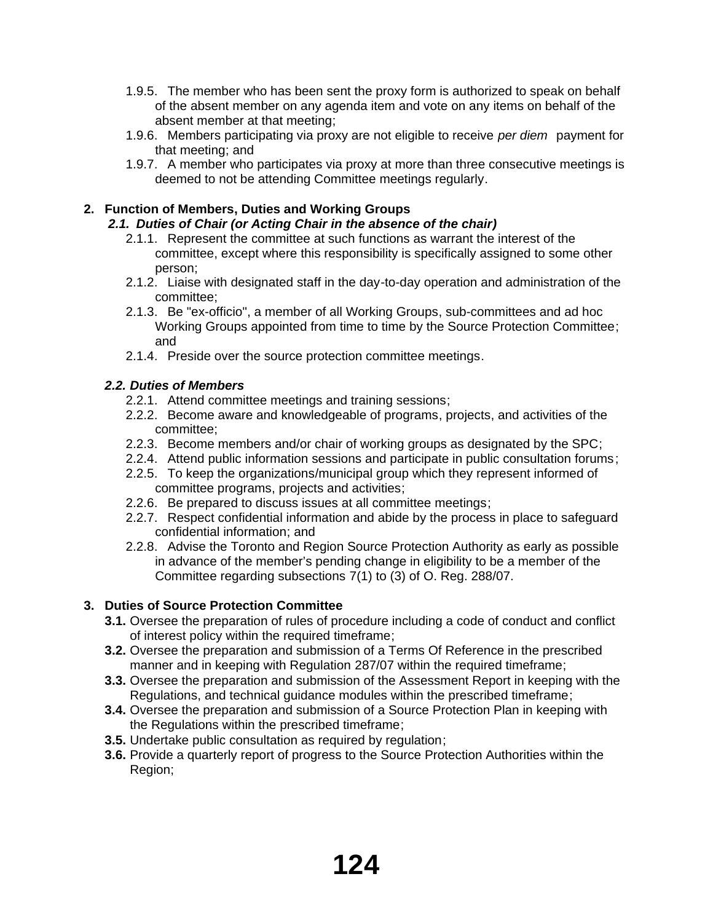- 1.9.5. The member who has been sent the proxy form is authorized to speak on behalf of the absent member on any agenda item and vote on any items on behalf of the absent member at that meeting;
- 1.9.6. Members participating via proxy are not eligible to receive *per diem* payment for that meeting; and
- 1.9.7. A member who participates via proxy at more than three consecutive meetings is deemed to not be attending Committee meetings regularly.

# **2. Function of Members, Duties and Working Groups**

# *2.1. Duties of Chair (or Acting Chair in the absence of the chair)*

- 2.1.1. Represent the committee at such functions as warrant the interest of the committee, except where this responsibility is specifically assigned to some other person;
- 2.1.2. Liaise with designated staff in the day-to-day operation and administration of the committee;
- 2.1.3. Be "ex-officio", a member of all Working Groups, sub-committees and ad hoc Working Groups appointed from time to time by the Source Protection Committee; and
- 2.1.4. Preside over the source protection committee meetings.

# *2.2. Duties of Members*

- 2.2.1. Attend committee meetings and training sessions;
- 2.2.2. Become aware and knowledgeable of programs, projects, and activities of the committee;
- 2.2.3. Become members and/or chair of working groups as designated by the SPC;
- 2.2.4. Attend public information sessions and participate in public consultation forums;
- 2.2.5. To keep the organizations/municipal group which they represent informed of committee programs, projects and activities;
- 2.2.6. Be prepared to discuss issues at all committee meetings;
- 2.2.7. Respect confidential information and abide by the process in place to safeguard confidential information; and
- 2.2.8. Advise the Toronto and Region Source Protection Authority as early as possible in advance of the member's pending change in eligibility to be a member of the Committee regarding subsections 7(1) to (3) of O. Reg. 288/07.

# **3. Duties of Source Protection Committee**

- **3.1.** Oversee the preparation of rules of procedure including a code of conduct and conflict of interest policy within the required timeframe;
- **3.2.** Oversee the preparation and submission of a Terms Of Reference in the prescribed manner and in keeping with Regulation 287/07 within the required timeframe;
- **3.3.** Oversee the preparation and submission of the Assessment Report in keeping with the Regulations, and technical guidance modules within the prescribed timeframe;
- **3.4.** Oversee the preparation and submission of a Source Protection Plan in keeping with the Regulations within the prescribed timeframe;
- **3.5.** Undertake public consultation as required by regulation;
- **3.6.** Provide a quarterly report of progress to the Source Protection Authorities within the Region;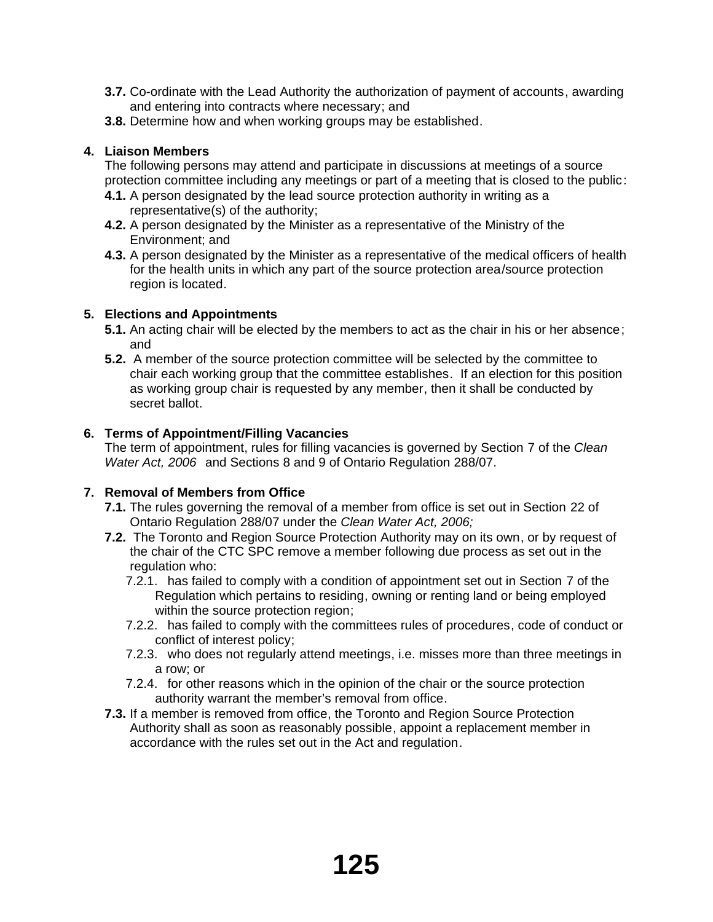- **3.7.** Co-ordinate with the Lead Authority the authorization of payment of accounts, awarding and entering into contracts where necessary; and
- **3.8.** Determine how and when working groups may be established.

# **4. Liaison Members**

The following persons may attend and participate in discussions at meetings of a source protection committee including any meetings or part of a meeting that is closed to the public:

- **4.1.** A person designated by the lead source protection authority in writing as a representative(s) of the authority;
- **4.2.** A person designated by the Minister as a representative of the Ministry of the Environment; and
- **4.3.** A person designated by the Minister as a representative of the medical officers of health for the health units in which any part of the source protection area/source protection region is located.

# **5. Elections and Appointments**

- **5.1.** An acting chair will be elected by the members to act as the chair in his or her absence; and
- **5.2.** A member of the source protection committee will be selected by the committee to chair each working group that the committee establishes. If an election for this position as working group chair is requested by any member, then it shall be conducted by secret ballot.

# **6. Terms of Appointment/Filling Vacancies**

The term of appointment, rules for filling vacancies is governed by Section 7 of the *Clean Water Act, 2006* and Sections 8 and 9 of Ontario Regulation 288/07.

# **7. Removal of Members from Office**

- **7.1.** The rules governing the removal of a member from office is set out in Section 22 of Ontario Regulation 288/07 under the *Clean Water Act, 2006;*
- **7.2.** The Toronto and Region Source Protection Authority may on its own, or by request of the chair of the CTC SPC remove a member following due process as set out in the regulation who:
	- 7.2.1. has failed to comply with a condition of appointment set out in Section 7 of the Regulation which pertains to residing, owning or renting land or being employed within the source protection region;
	- 7.2.2. has failed to comply with the committees rules of procedures, code of conduct or conflict of interest policy;
	- 7.2.3. who does not regularly attend meetings, i.e. misses more than three meetings in a row; or
	- 7.2.4. for other reasons which in the opinion of the chair or the source protection authority warrant the member's removal from office.
- **7.3.** If a member is removed from office, the Toronto and Region Source Protection Authority shall as soon as reasonably possible, appoint a replacement member in accordance with the rules set out in the Act and regulation.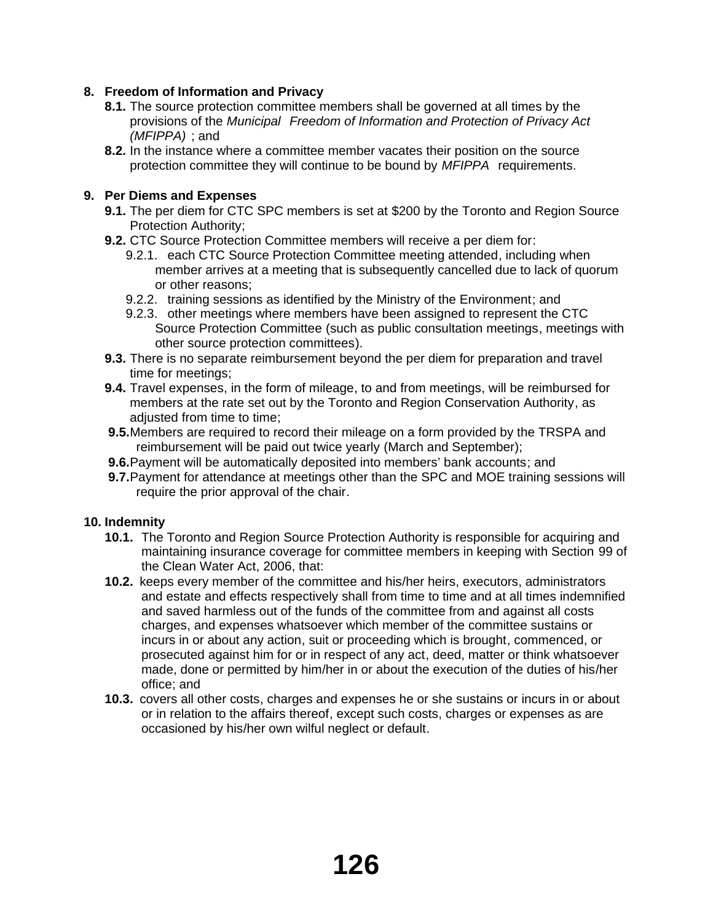# **8. Freedom of Information and Privacy**

- **8.1.** The source protection committee members shall be governed at all times by the provisions of the *Municipal Freedom of Information and Protection of Privacy Act (MFIPPA)* ; and
- **8.2.** In the instance where a committee member vacates their position on the source protection committee they will continue to be bound by *MFIPPA* requirements.

## **9. Per Diems and Expenses**

- **9.1.** The per diem for CTC SPC members is set at \$200 by the Toronto and Region Source Protection Authority;
- **9.2.** CTC Source Protection Committee members will receive a per diem for:
	- 9.2.1. each CTC Source Protection Committee meeting attended, including when member arrives at a meeting that is subsequently cancelled due to lack of quorum or other reasons;
	- 9.2.2. training sessions as identified by the Ministry of the Environment; and
	- 9.2.3. other meetings where members have been assigned to represent the CTC Source Protection Committee (such as public consultation meetings, meetings with other source protection committees).
- **9.3.** There is no separate reimbursement beyond the per diem for preparation and travel time for meetings;
- **9.4.** Travel expenses, in the form of mileage, to and from meetings, will be reimbursed for members at the rate set out by the Toronto and Region Conservation Authority, as adjusted from time to time;
- **9.5.**Members are required to record their mileage on a form provided by the TRSPA and reimbursement will be paid out twice yearly (March and September);
- **9.6.**Payment will be automatically deposited into members' bank accounts; and
- **9.7.**Payment for attendance at meetings other than the SPC and MOE training sessions will require the prior approval of the chair.

## **10. Indemnity**

- **10.1.** The Toronto and Region Source Protection Authority is responsible for acquiring and maintaining insurance coverage for committee members in keeping with Section 99 of the Clean Water Act, 2006, that:
- **10.2.** keeps every member of the committee and his/her heirs, executors, administrators and estate and effects respectively shall from time to time and at all times indemnified and saved harmless out of the funds of the committee from and against all costs charges, and expenses whatsoever which member of the committee sustains or incurs in or about any action, suit or proceeding which is brought, commenced, or prosecuted against him for or in respect of any act, deed, matter or think whatsoever made, done or permitted by him/her in or about the execution of the duties of his/her office; and
- **10.3.** covers all other costs, charges and expenses he or she sustains or incurs in or about or in relation to the affairs thereof, except such costs, charges or expenses as are occasioned by his/her own wilful neglect or default.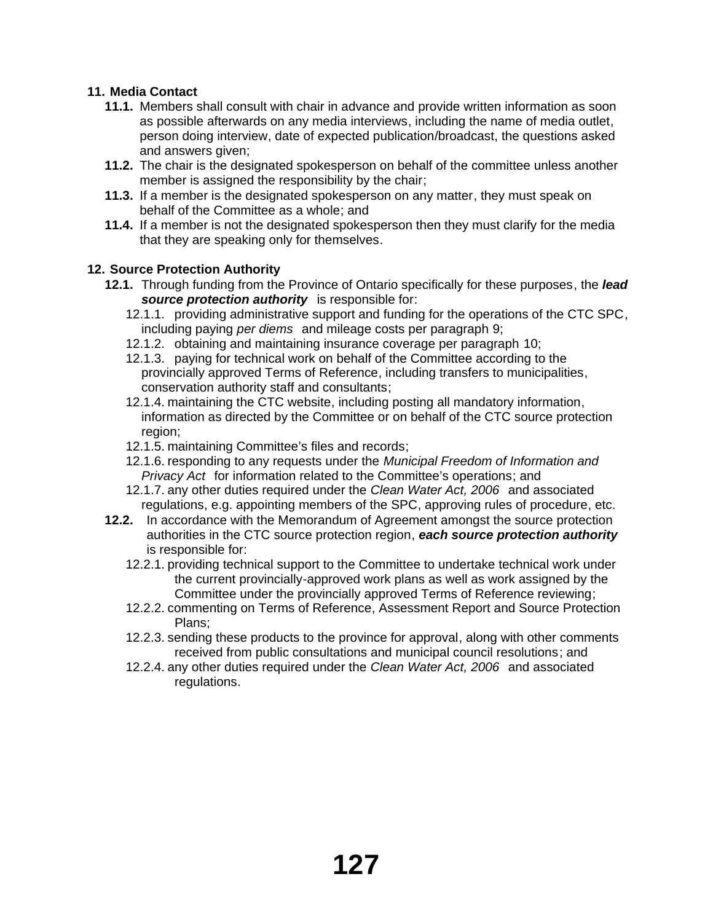# **11. Media Contact**

- **11.1.** Members shall consult with chair in advance and provide written information as soon as possible afterwards on any media interviews, including the name of media outlet, person doing interview, date of expected publication/broadcast, the questions asked and answers given;
- **11.2.** The chair is the designated spokesperson on behalf of the committee unless another member is assigned the responsibility by the chair;
- **11.3.** If a member is the designated spokesperson on any matter, they must speak on behalf of the Committee as a whole; and
- **11.4.** If a member is not the designated spokesperson then they must clarify for the media that they are speaking only for themselves.

## **12. Source Protection Authority**

- **12.1.** Through funding from the Province of Ontario specifically for these purposes, the *lead source protection authority* is responsible for:
	- 12.1.1. providing administrative support and funding for the operations of the CTC SPC, including paying *per diems* and mileage costs per paragraph 9;
	- 12.1.2. obtaining and maintaining insurance coverage per paragraph 10;
	- 12.1.3. paying for technical work on behalf of the Committee according to the provincially approved Terms of Reference, including transfers to municipalities, conservation authority staff and consultants;
	- 12.1.4. maintaining the CTC website, including posting all mandatory information, information as directed by the Committee or on behalf of the CTC source protection region;
	- 12.1.5. maintaining Committee's files and records;
	- 12.1.6. responding to any requests under the *Municipal Freedom of Information and Privacy Act* for information related to the Committee's operations; and
	- 12.1.7. any other duties required under the *Clean Water Act, 2006* and associated regulations, e.g. appointing members of the SPC, approving rules of procedure, etc.
- **12.2.** In accordance with the Memorandum of Agreement amongst the source protection authorities in the CTC source protection region, *each source protection authority* is responsible for:
	- 12.2.1. providing technical support to the Committee to undertake technical work under the current provincially-approved work plans as well as work assigned by the Committee under the provincially approved Terms of Reference reviewing;
	- 12.2.2. commenting on Terms of Reference, Assessment Report and Source Protection Plans;
	- 12.2.3. sending these products to the province for approval, along with other comments received from public consultations and municipal council resolutions; and
	- 12.2.4. any other duties required under the *Clean Water Act, 2006* and associated regulations.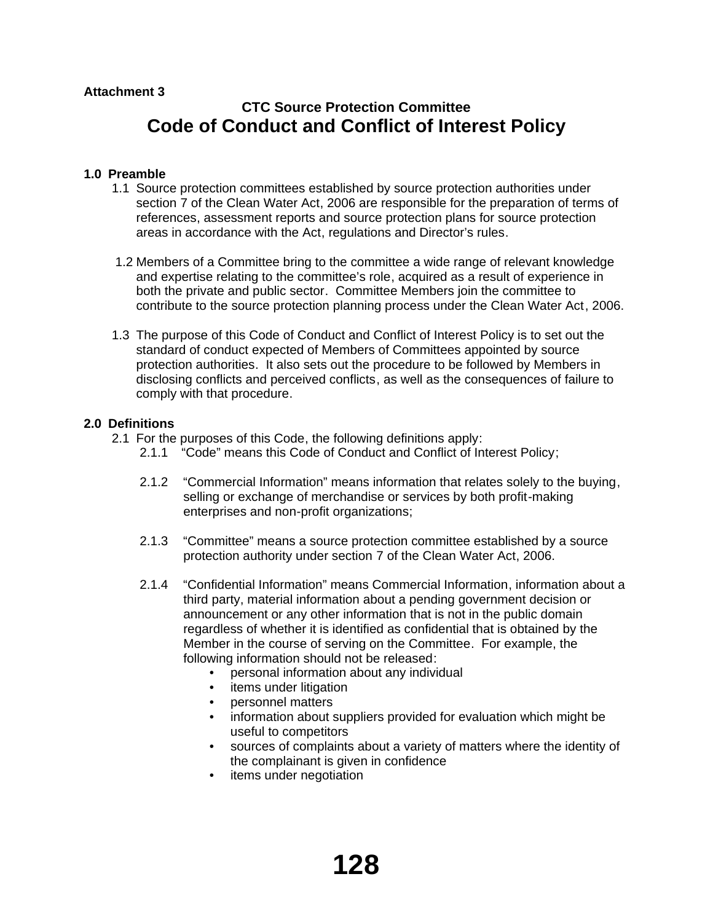# **CTC Source Protection Committee Code of Conduct and Conflict of Interest Policy**

# **1.0 Preamble**

- 1.1 Source protection committees established by source protection authorities under section 7 of the Clean Water Act, 2006 are responsible for the preparation of terms of references, assessment reports and source protection plans for source protection areas in accordance with the Act, regulations and Director's rules.
- 1.2 Members of a Committee bring to the committee a wide range of relevant knowledge and expertise relating to the committee's role, acquired as a result of experience in both the private and public sector. Committee Members join the committee to contribute to the source protection planning process under the Clean Water Act, 2006.
- 1.3 The purpose of this Code of Conduct and Conflict of Interest Policy is to set out the standard of conduct expected of Members of Committees appointed by source protection authorities. It also sets out the procedure to be followed by Members in disclosing conflicts and perceived conflicts, as well as the consequences of failure to comply with that procedure.

## **2.0 Definitions**

- 2.1 For the purposes of this Code, the following definitions apply:
	- 2.1.1 "Code" means this Code of Conduct and Conflict of Interest Policy;
	- 2.1.2 "Commercial Information" means information that relates solely to the buying, selling or exchange of merchandise or services by both profit-making enterprises and non-profit organizations;
	- 2.1.3 "Committee" means a source protection committee established by a source protection authority under section 7 of the Clean Water Act, 2006.
	- 2.1.4 "Confidential Information" means Commercial Information, information about a third party, material information about a pending government decision or announcement or any other information that is not in the public domain regardless of whether it is identified as confidential that is obtained by the Member in the course of serving on the Committee. For example, the following information should not be released:
		- personal information about any individual
		- items under litigation
		- personnel matters
		- information about suppliers provided for evaluation which might be useful to competitors
		- sources of complaints about a variety of matters where the identity of the complainant is given in confidence
		- items under negotiation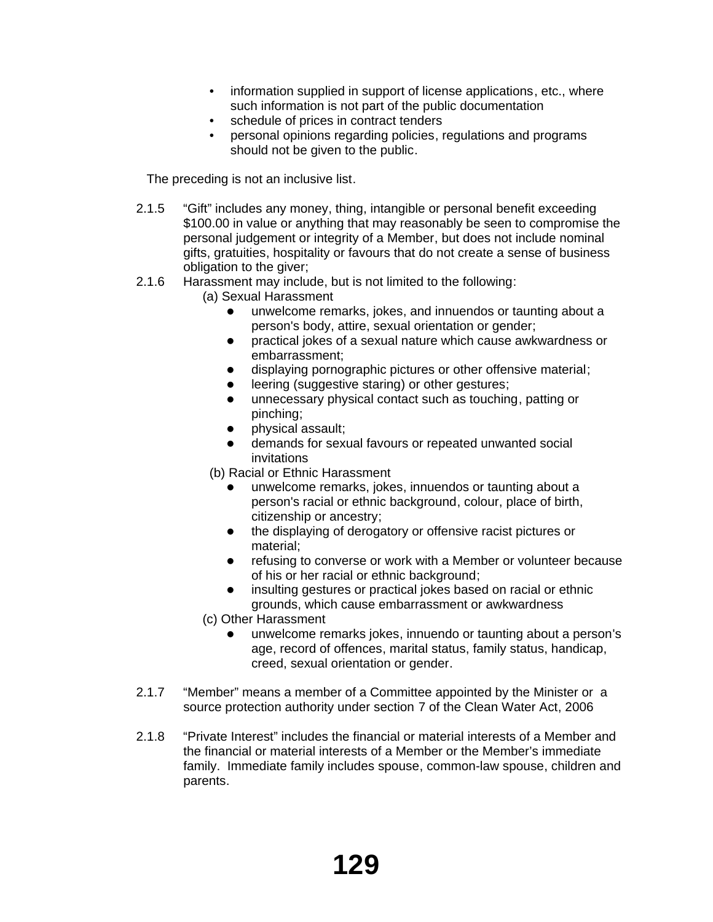- information supplied in support of license applications, etc., where such information is not part of the public documentation
- schedule of prices in contract tenders
- personal opinions regarding policies, regulations and programs should not be given to the public.

The preceding is not an inclusive list.

- 2.1.5 "Gift" includes any money, thing, intangible or personal benefit exceeding \$100.00 in value or anything that may reasonably be seen to compromise the personal judgement or integrity of a Member, but does not include nominal gifts, gratuities, hospitality or favours that do not create a sense of business obligation to the giver;
- 2.1.6 Harassment may include, but is not limited to the following:
	- (a) Sexual Harassment
		- unwelcome remarks, jokes, and innuendos or taunting about a person's body, attire, sexual orientation or gender;
		- practical jokes of a sexual nature which cause awkwardness or embarrassment;
		- displaying pornographic pictures or other offensive material;
		- **•** leering (suggestive staring) or other gestures;
		- unnecessary physical contact such as touching, patting or pinching;
		- physical assault;
		- demands for sexual favours or repeated unwanted social invitations
	- (b) Racial or Ethnic Harassment
		- unwelcome remarks, jokes, innuendos or taunting about a person's racial or ethnic background, colour, place of birth, citizenship or ancestry;
		- the displaying of derogatory or offensive racist pictures or material;
		- refusing to converse or work with a Member or volunteer because of his or her racial or ethnic background;
		- insulting gestures or practical jokes based on racial or ethnic grounds, which cause embarrassment or awkwardness
	- (c) Other Harassment
		- unwelcome remarks jokes, innuendo or taunting about a person's age, record of offences, marital status, family status, handicap, creed, sexual orientation or gender.
- 2.1.7 "Member" means a member of a Committee appointed by the Minister or a source protection authority under section 7 of the Clean Water Act, 2006
- 2.1.8 "Private Interest" includes the financial or material interests of a Member and the financial or material interests of a Member or the Member's immediate family. Immediate family includes spouse, common-law spouse, children and parents.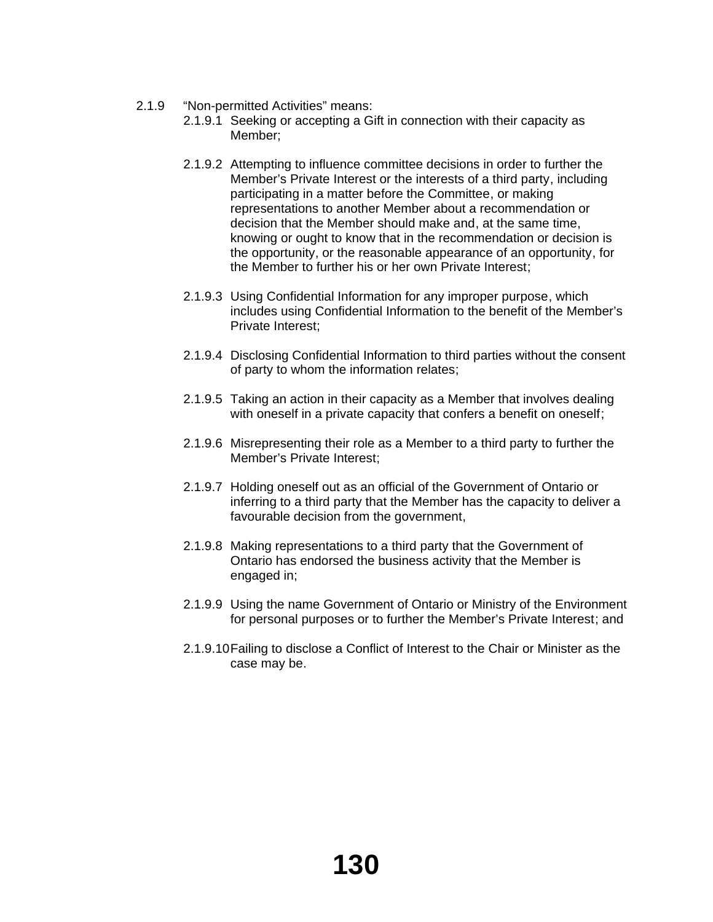- 2.1.9 "Non-permitted Activities" means:
	- 2.1.9.1 Seeking or accepting a Gift in connection with their capacity as Member;
	- 2.1.9.2 Attempting to influence committee decisions in order to further the Member's Private Interest or the interests of a third party, including participating in a matter before the Committee, or making representations to another Member about a recommendation or decision that the Member should make and, at the same time, knowing or ought to know that in the recommendation or decision is the opportunity, or the reasonable appearance of an opportunity, for the Member to further his or her own Private Interest;
	- 2.1.9.3 Using Confidential Information for any improper purpose, which includes using Confidential Information to the benefit of the Member's Private Interest;
	- 2.1.9.4 Disclosing Confidential Information to third parties without the consent of party to whom the information relates;
	- 2.1.9.5 Taking an action in their capacity as a Member that involves dealing with oneself in a private capacity that confers a benefit on oneself;
	- 2.1.9.6 Misrepresenting their role as a Member to a third party to further the Member's Private Interest;
	- 2.1.9.7 Holding oneself out as an official of the Government of Ontario or inferring to a third party that the Member has the capacity to deliver a favourable decision from the government,
	- 2.1.9.8 Making representations to a third party that the Government of Ontario has endorsed the business activity that the Member is engaged in;
	- 2.1.9.9 Using the name Government of Ontario or Ministry of the Environment for personal purposes or to further the Member's Private Interest; and
	- 2.1.9.10Failing to disclose a Conflict of Interest to the Chair or Minister as the case may be.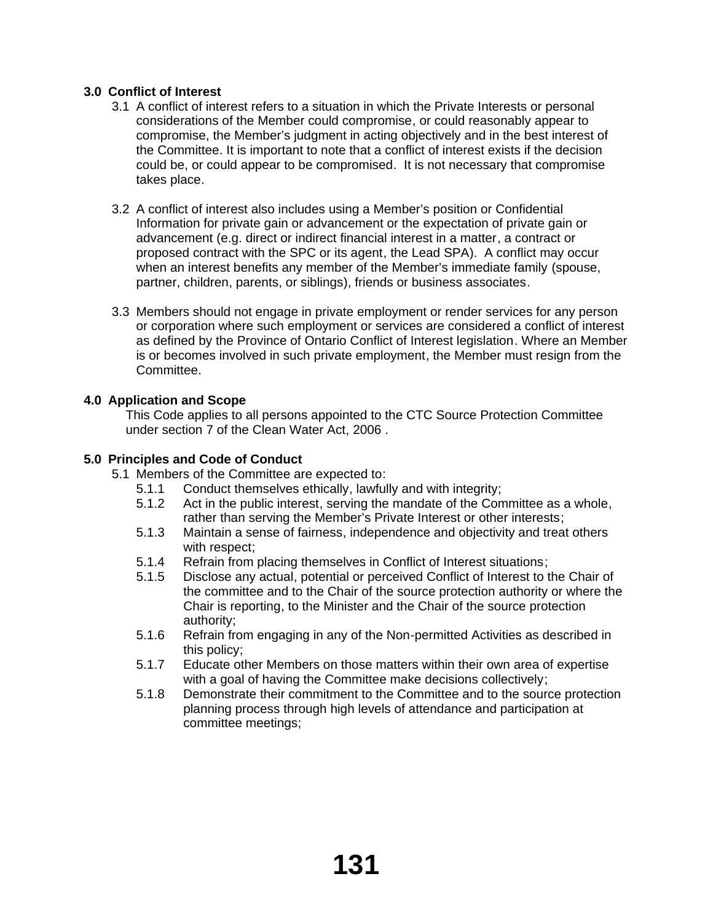# **3.0 Conflict of Interest**

- 3.1 A conflict of interest refers to a situation in which the Private Interests or personal considerations of the Member could compromise, or could reasonably appear to compromise, the Member's judgment in acting objectively and in the best interest of the Committee. It is important to note that a conflict of interest exists if the decision could be, or could appear to be compromised. It is not necessary that compromise takes place.
- 3.2 A conflict of interest also includes using a Member's position or Confidential Information for private gain or advancement or the expectation of private gain or advancement (e.g. direct or indirect financial interest in a matter, a contract or proposed contract with the SPC or its agent, the Lead SPA). A conflict may occur when an interest benefits any member of the Member's immediate family (spouse, partner, children, parents, or siblings), friends or business associates.
- 3.3 Members should not engage in private employment or render services for any person or corporation where such employment or services are considered a conflict of interest as defined by the Province of Ontario Conflict of Interest legislation. Where an Member is or becomes involved in such private employment, the Member must resign from the Committee.

# **4.0 Application and Scope**

This Code applies to all persons appointed to the CTC Source Protection Committee under section 7 of the Clean Water Act, 2006 .

# **5.0 Principles and Code of Conduct**

- 5.1 Members of the Committee are expected to:
	- 5.1.1 Conduct themselves ethically, lawfully and with integrity;
	- 5.1.2 Act in the public interest, serving the mandate of the Committee as a whole, rather than serving the Member's Private Interest or other interests;
	- 5.1.3 Maintain a sense of fairness, independence and objectivity and treat others with respect;
	- 5.1.4 Refrain from placing themselves in Conflict of Interest situations;
	- 5.1.5 Disclose any actual, potential or perceived Conflict of Interest to the Chair of the committee and to the Chair of the source protection authority or where the Chair is reporting, to the Minister and the Chair of the source protection authority;
	- 5.1.6 Refrain from engaging in any of the Non-permitted Activities as described in this policy;
	- 5.1.7 Educate other Members on those matters within their own area of expertise with a goal of having the Committee make decisions collectively;
	- 5.1.8 Demonstrate their commitment to the Committee and to the source protection planning process through high levels of attendance and participation at committee meetings;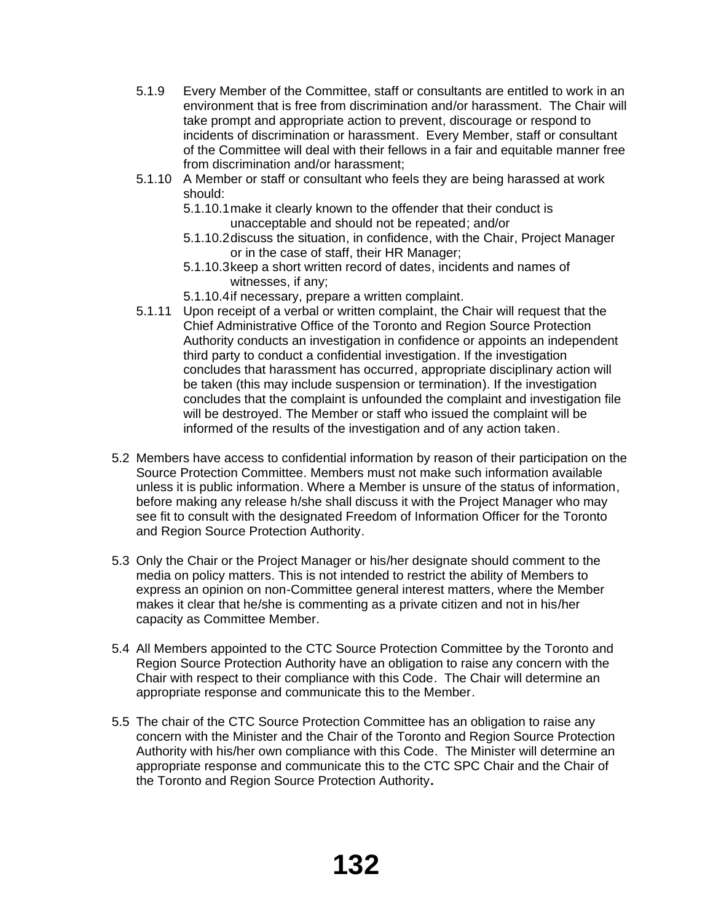- 5.1.9 Every Member of the Committee, staff or consultants are entitled to work in an environment that is free from discrimination and/or harassment. The Chair will take prompt and appropriate action to prevent, discourage or respond to incidents of discrimination or harassment. Every Member, staff or consultant of the Committee will deal with their fellows in a fair and equitable manner free from discrimination and/or harassment;
- 5.1.10 A Member or staff or consultant who feels they are being harassed at work should:
	- 5.1.10.1make it clearly known to the offender that their conduct is unacceptable and should not be repeated; and/or
	- 5.1.10.2discuss the situation, in confidence, with the Chair, Project Manager or in the case of staff, their HR Manager;
	- 5.1.10.3keep a short written record of dates, incidents and names of witnesses, if any;
	- 5.1.10.4if necessary, prepare a written complaint.
- 5.1.11 Upon receipt of a verbal or written complaint, the Chair will request that the Chief Administrative Office of the Toronto and Region Source Protection Authority conducts an investigation in confidence or appoints an independent third party to conduct a confidential investigation. If the investigation concludes that harassment has occurred, appropriate disciplinary action will be taken (this may include suspension or termination). If the investigation concludes that the complaint is unfounded the complaint and investigation file will be destroyed. The Member or staff who issued the complaint will be informed of the results of the investigation and of any action taken.
- 5.2 Members have access to confidential information by reason of their participation on the Source Protection Committee. Members must not make such information available unless it is public information. Where a Member is unsure of the status of information, before making any release h/she shall discuss it with the Project Manager who may see fit to consult with the designated Freedom of Information Officer for the Toronto and Region Source Protection Authority.
- 5.3 Only the Chair or the Project Manager or his/her designate should comment to the media on policy matters. This is not intended to restrict the ability of Members to express an opinion on non-Committee general interest matters, where the Member makes it clear that he/she is commenting as a private citizen and not in his/her capacity as Committee Member.
- 5.4 All Members appointed to the CTC Source Protection Committee by the Toronto and Region Source Protection Authority have an obligation to raise any concern with the Chair with respect to their compliance with this Code. The Chair will determine an appropriate response and communicate this to the Member.
- 5.5 The chair of the CTC Source Protection Committee has an obligation to raise any concern with the Minister and the Chair of the Toronto and Region Source Protection Authority with his/her own compliance with this Code. The Minister will determine an appropriate response and communicate this to the CTC SPC Chair and the Chair of the Toronto and Region Source Protection Authority**.**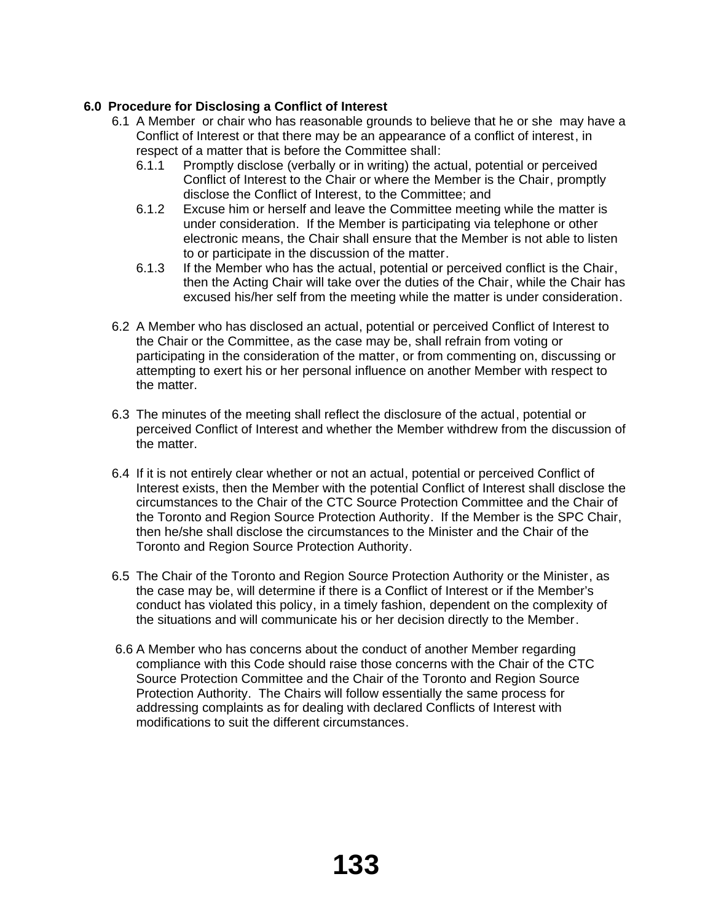# **6.0 Procedure for Disclosing a Conflict of Interest**

- 6.1 A Member or chair who has reasonable grounds to believe that he or she may have a Conflict of Interest or that there may be an appearance of a conflict of interest, in respect of a matter that is before the Committee shall:
	- 6.1.1 Promptly disclose (verbally or in writing) the actual, potential or perceived Conflict of Interest to the Chair or where the Member is the Chair, promptly disclose the Conflict of Interest, to the Committee; and
	- 6.1.2 Excuse him or herself and leave the Committee meeting while the matter is under consideration. If the Member is participating via telephone or other electronic means, the Chair shall ensure that the Member is not able to listen to or participate in the discussion of the matter.
	- 6.1.3 If the Member who has the actual, potential or perceived conflict is the Chair, then the Acting Chair will take over the duties of the Chair, while the Chair has excused his/her self from the meeting while the matter is under consideration.
- 6.2 A Member who has disclosed an actual, potential or perceived Conflict of Interest to the Chair or the Committee, as the case may be, shall refrain from voting or participating in the consideration of the matter, or from commenting on, discussing or attempting to exert his or her personal influence on another Member with respect to the matter.
- 6.3 The minutes of the meeting shall reflect the disclosure of the actual, potential or perceived Conflict of Interest and whether the Member withdrew from the discussion of the matter.
- 6.4 If it is not entirely clear whether or not an actual, potential or perceived Conflict of Interest exists, then the Member with the potential Conflict of Interest shall disclose the circumstances to the Chair of the CTC Source Protection Committee and the Chair of the Toronto and Region Source Protection Authority. If the Member is the SPC Chair, then he/she shall disclose the circumstances to the Minister and the Chair of the Toronto and Region Source Protection Authority.
- 6.5 The Chair of the Toronto and Region Source Protection Authority or the Minister, as the case may be, will determine if there is a Conflict of Interest or if the Member's conduct has violated this policy, in a timely fashion, dependent on the complexity of the situations and will communicate his or her decision directly to the Member.
- 6.6 A Member who has concerns about the conduct of another Member regarding compliance with this Code should raise those concerns with the Chair of the CTC Source Protection Committee and the Chair of the Toronto and Region Source Protection Authority. The Chairs will follow essentially the same process for addressing complaints as for dealing with declared Conflicts of Interest with modifications to suit the different circumstances.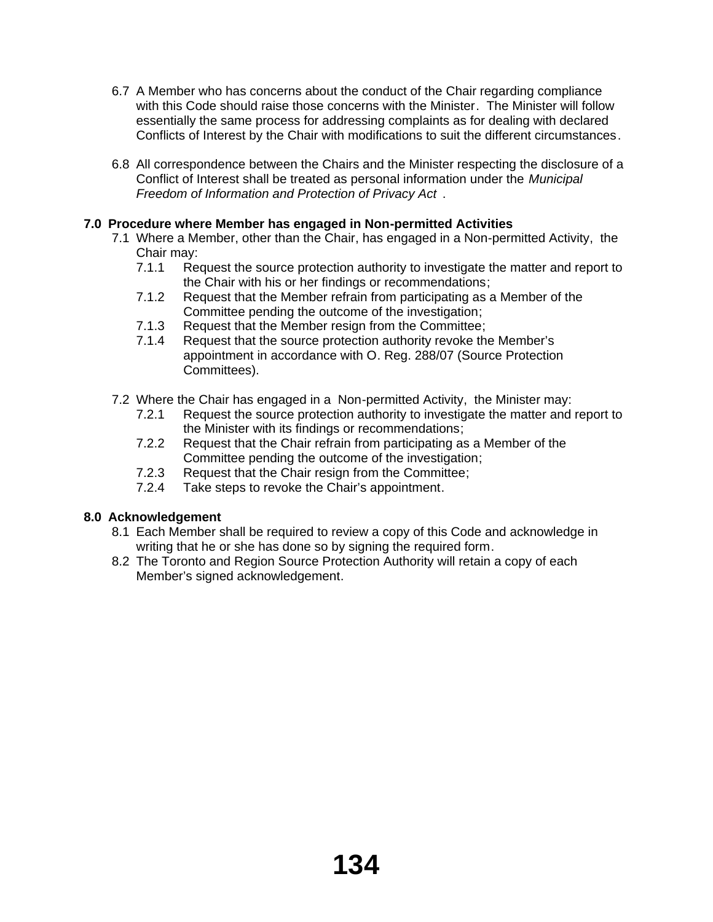- 6.7 A Member who has concerns about the conduct of the Chair regarding compliance with this Code should raise those concerns with the Minister. The Minister will follow essentially the same process for addressing complaints as for dealing with declared Conflicts of Interest by the Chair with modifications to suit the different circumstances.
- 6.8 All correspondence between the Chairs and the Minister respecting the disclosure of a Conflict of Interest shall be treated as personal information under the *Municipal Freedom of Information and Protection of Privacy Act* .

# **7.0 Procedure where Member has engaged in Non-permitted Activities**

- 7.1 Where a Member, other than the Chair, has engaged in a Non-permitted Activity, the Chair may:
	- 7.1.1 Request the source protection authority to investigate the matter and report to the Chair with his or her findings or recommendations;
	- 7.1.2 Request that the Member refrain from participating as a Member of the Committee pending the outcome of the investigation;
	- 7.1.3 Request that the Member resign from the Committee;
	- 7.1.4 Request that the source protection authority revoke the Member's appointment in accordance with O. Reg. 288/07 (Source Protection Committees).
- 7.2 Where the Chair has engaged in a Non-permitted Activity, the Minister may:
	- 7.2.1 Request the source protection authority to investigate the matter and report to the Minister with its findings or recommendations;
	- 7.2.2 Request that the Chair refrain from participating as a Member of the Committee pending the outcome of the investigation;
	- 7.2.3 Request that the Chair resign from the Committee;
	- 7.2.4 Take steps to revoke the Chair's appointment.

# **8.0 Acknowledgement**

- 8.1 Each Member shall be required to review a copy of this Code and acknowledge in writing that he or she has done so by signing the required form.
- 8.2 The Toronto and Region Source Protection Authority will retain a copy of each Member's signed acknowledgement.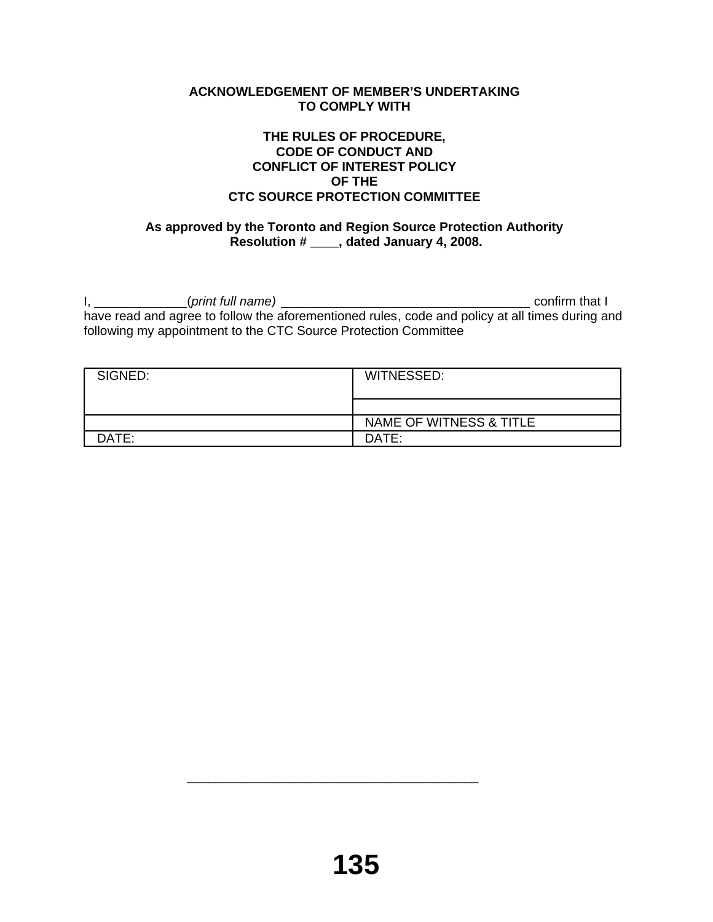## **ACKNOWLEDGEMENT OF MEMBER'S UNDERTAKING TO COMPLY WITH**

## **THE RULES OF PROCEDURE, CODE OF CONDUCT AND CONFLICT OF INTEREST POLICY OF THE CTC SOURCE PROTECTION COMMITTEE**

# **As approved by the Toronto and Region Source Protection Authority Resolution # \_\_\_\_, dated January 4, 2008.**

I, \_\_\_\_\_\_\_\_\_\_\_\_\_(*print full name)* \_\_\_\_\_\_\_\_\_\_\_\_\_\_\_\_\_\_\_\_\_\_\_\_\_\_\_\_\_\_\_\_\_\_\_ confirm that I have read and agree to follow the aforementioned rules, code and policy at all times during and following my appointment to the CTC Source Protection Committee

| SIGNED: | WITNESSED:              |
|---------|-------------------------|
|         |                         |
|         | NAME OF WITNESS & TITLE |
| DATE:   | DATE:                   |

 $\overline{\phantom{a}}$  ,  $\overline{\phantom{a}}$  ,  $\overline{\phantom{a}}$  ,  $\overline{\phantom{a}}$  ,  $\overline{\phantom{a}}$  ,  $\overline{\phantom{a}}$  ,  $\overline{\phantom{a}}$  ,  $\overline{\phantom{a}}$  ,  $\overline{\phantom{a}}$  ,  $\overline{\phantom{a}}$  ,  $\overline{\phantom{a}}$  ,  $\overline{\phantom{a}}$  ,  $\overline{\phantom{a}}$  ,  $\overline{\phantom{a}}$  ,  $\overline{\phantom{a}}$  ,  $\overline{\phantom{a}}$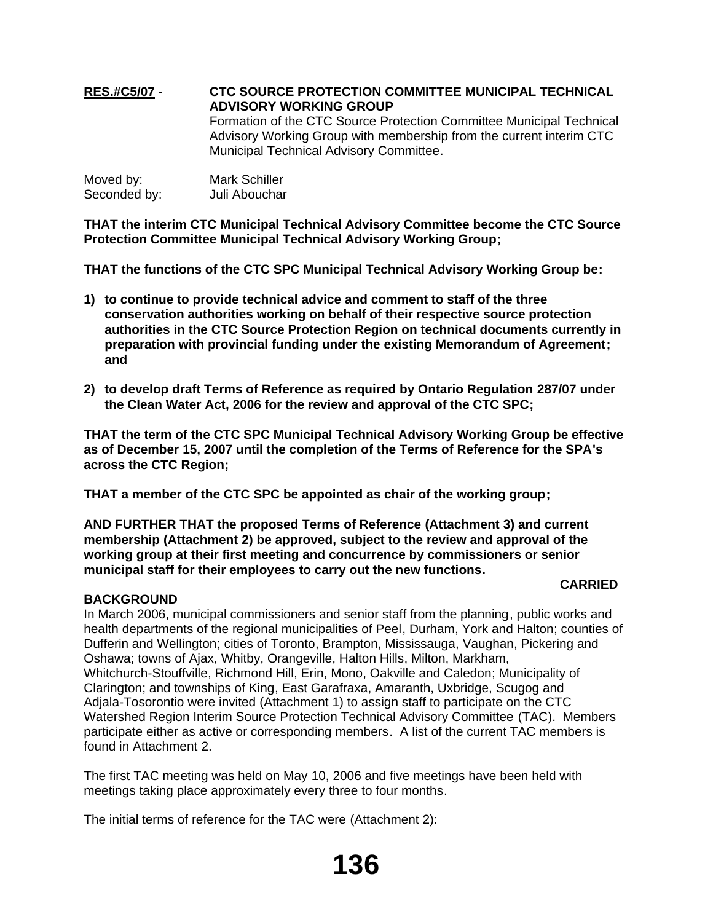# **RES.#C5/07 - CTC SOURCE PROTECTION COMMITTEE MUNICIPAL TECHNICAL ADVISORY WORKING GROUP** Formation of the CTC Source Protection Committee Municipal Technical Advisory Working Group with membership from the current interim CTC Municipal Technical Advisory Committee.

| Moved by:    | <b>Mark Schiller</b> |
|--------------|----------------------|
| Seconded by: | Juli Abouchar        |

**THAT the interim CTC Municipal Technical Advisory Committee become the CTC Source Protection Committee Municipal Technical Advisory Working Group;**

**THAT the functions of the CTC SPC Municipal Technical Advisory Working Group be:** 

- **1) to continue to provide technical advice and comment to staff of the three conservation authorities working on behalf of their respective source protection authorities in the CTC Source Protection Region on technical documents currently in preparation with provincial funding under the existing Memorandum of Agreement; and**
- **2) to develop draft Terms of Reference as required by Ontario Regulation 287/07 under the Clean Water Act, 2006 for the review and approval of the CTC SPC;**

**THAT the term of the CTC SPC Municipal Technical Advisory Working Group be effective as of December 15, 2007 until the completion of the Terms of Reference for the SPA's across the CTC Region;**

**THAT a member of the CTC SPC be appointed as chair of the working group;** 

**AND FURTHER THAT the proposed Terms of Reference (Attachment 3) and current membership (Attachment 2) be approved, subject to the review and approval of the working group at their first meeting and concurrence by commissioners or senior municipal staff for their employees to carry out the new functions.**

## **CARRIED**

## **BACKGROUND**

In March 2006, municipal commissioners and senior staff from the planning, public works and health departments of the regional municipalities of Peel, Durham, York and Halton; counties of Dufferin and Wellington; cities of Toronto, Brampton, Mississauga, Vaughan, Pickering and Oshawa; towns of Ajax, Whitby, Orangeville, Halton Hills, Milton, Markham, Whitchurch-Stouffville, Richmond Hill, Erin, Mono, Oakville and Caledon; Municipality of Clarington; and townships of King, East Garafraxa, Amaranth, Uxbridge, Scugog and Adjala-Tosorontio were invited (Attachment 1) to assign staff to participate on the CTC Watershed Region Interim Source Protection Technical Advisory Committee (TAC). Members participate either as active or corresponding members. A list of the current TAC members is found in Attachment 2.

The first TAC meeting was held on May 10, 2006 and five meetings have been held with meetings taking place approximately every three to four months.

The initial terms of reference for the TAC were (Attachment 2):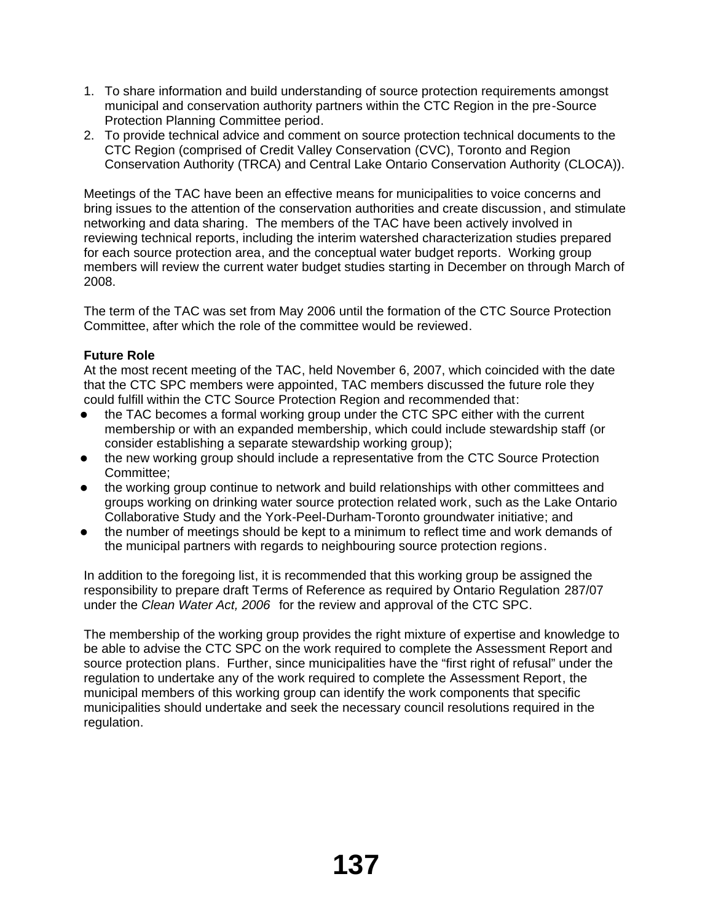- 1. To share information and build understanding of source protection requirements amongst municipal and conservation authority partners within the CTC Region in the pre-Source Protection Planning Committee period.
- 2. To provide technical advice and comment on source protection technical documents to the CTC Region (comprised of Credit Valley Conservation (CVC), Toronto and Region Conservation Authority (TRCA) and Central Lake Ontario Conservation Authority (CLOCA)).

Meetings of the TAC have been an effective means for municipalities to voice concerns and bring issues to the attention of the conservation authorities and create discussion, and stimulate networking and data sharing. The members of the TAC have been actively involved in reviewing technical reports, including the interim watershed characterization studies prepared for each source protection area, and the conceptual water budget reports. Working group members will review the current water budget studies starting in December on through March of 2008.

The term of the TAC was set from May 2006 until the formation of the CTC Source Protection Committee, after which the role of the committee would be reviewed.

# **Future Role**

At the most recent meeting of the TAC, held November 6, 2007, which coincided with the date that the CTC SPC members were appointed, TAC members discussed the future role they could fulfill within the CTC Source Protection Region and recommended that:

- the TAC becomes a formal working group under the CTC SPC either with the current membership or with an expanded membership, which could include stewardship staff (or consider establishing a separate stewardship working group);
- the new working group should include a representative from the CTC Source Protection Committee;
- the working group continue to network and build relationships with other committees and groups working on drinking water source protection related work, such as the Lake Ontario Collaborative Study and the York-Peel-Durham-Toronto groundwater initiative; and
- the number of meetings should be kept to a minimum to reflect time and work demands of the municipal partners with regards to neighbouring source protection regions.

In addition to the foregoing list, it is recommended that this working group be assigned the responsibility to prepare draft Terms of Reference as required by Ontario Regulation 287/07 under the *Clean Water Act, 2006* for the review and approval of the CTC SPC.

The membership of the working group provides the right mixture of expertise and knowledge to be able to advise the CTC SPC on the work required to complete the Assessment Report and source protection plans. Further, since municipalities have the "first right of refusal" under the regulation to undertake any of the work required to complete the Assessment Report, the municipal members of this working group can identify the work components that specific municipalities should undertake and seek the necessary council resolutions required in the regulation.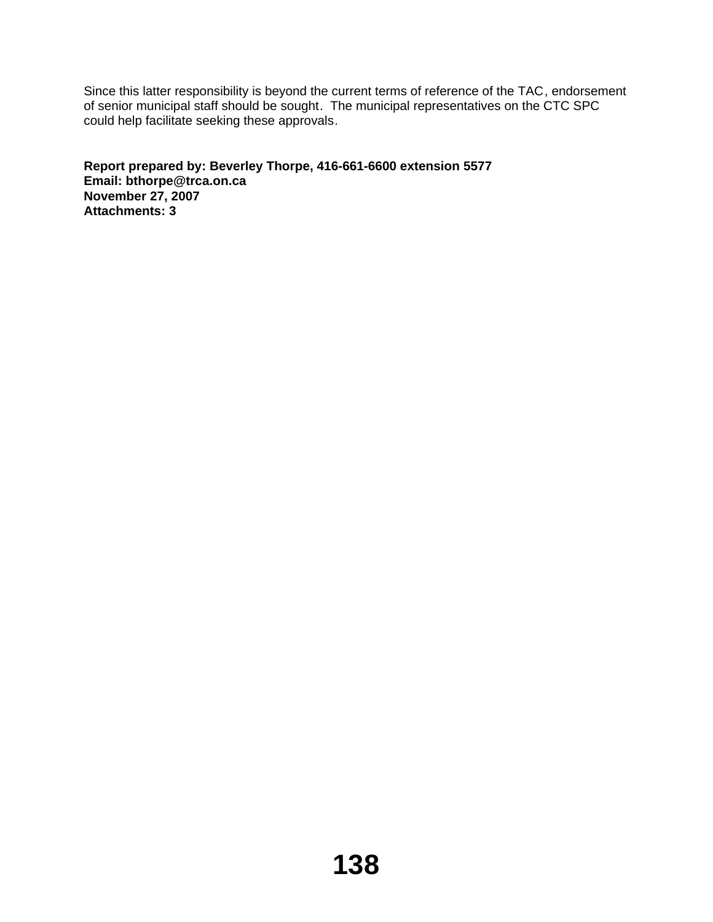Since this latter responsibility is beyond the current terms of reference of the TAC, endorsement of senior municipal staff should be sought. The municipal representatives on the CTC SPC could help facilitate seeking these approvals.

**Report prepared by: Beverley Thorpe, 416-661-6600 extension 5577 Email: bthorpe@trca.on.ca November 27, 2007 Attachments: 3**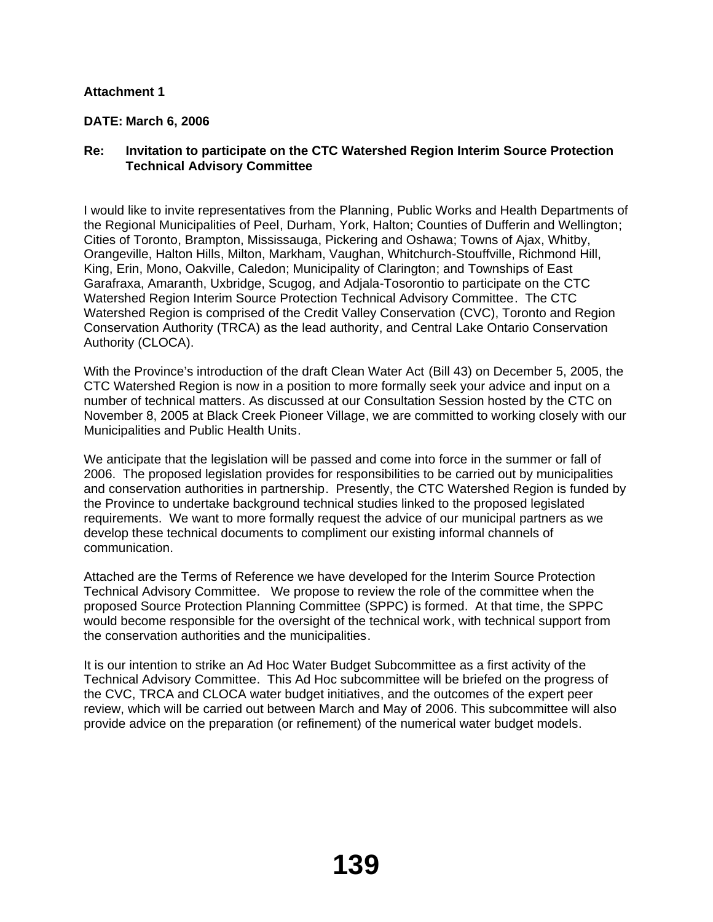## **Attachment 1**

# **DATE: March 6, 2006**

## **Re: Invitation to participate on the CTC Watershed Region Interim Source Protection Technical Advisory Committee**

I would like to invite representatives from the Planning, Public Works and Health Departments of the Regional Municipalities of Peel, Durham, York, Halton; Counties of Dufferin and Wellington; Cities of Toronto, Brampton, Mississauga, Pickering and Oshawa; Towns of Ajax, Whitby, Orangeville, Halton Hills, Milton, Markham, Vaughan, Whitchurch-Stouffville, Richmond Hill, King, Erin, Mono, Oakville, Caledon; Municipality of Clarington; and Townships of East Garafraxa, Amaranth, Uxbridge, Scugog, and Adjala-Tosorontio to participate on the CTC Watershed Region Interim Source Protection Technical Advisory Committee. The CTC Watershed Region is comprised of the Credit Valley Conservation (CVC), Toronto and Region Conservation Authority (TRCA) as the lead authority, and Central Lake Ontario Conservation Authority (CLOCA).

With the Province's introduction of the draft Clean Water Act (Bill 43) on December 5, 2005, the CTC Watershed Region is now in a position to more formally seek your advice and input on a number of technical matters. As discussed at our Consultation Session hosted by the CTC on November 8, 2005 at Black Creek Pioneer Village, we are committed to working closely with our Municipalities and Public Health Units.

We anticipate that the legislation will be passed and come into force in the summer or fall of 2006. The proposed legislation provides for responsibilities to be carried out by municipalities and conservation authorities in partnership. Presently, the CTC Watershed Region is funded by the Province to undertake background technical studies linked to the proposed legislated requirements. We want to more formally request the advice of our municipal partners as we develop these technical documents to compliment our existing informal channels of communication.

Attached are the Terms of Reference we have developed for the Interim Source Protection Technical Advisory Committee. We propose to review the role of the committee when the proposed Source Protection Planning Committee (SPPC) is formed. At that time, the SPPC would become responsible for the oversight of the technical work, with technical support from the conservation authorities and the municipalities.

It is our intention to strike an Ad Hoc Water Budget Subcommittee as a first activity of the Technical Advisory Committee. This Ad Hoc subcommittee will be briefed on the progress of the CVC, TRCA and CLOCA water budget initiatives, and the outcomes of the expert peer review, which will be carried out between March and May of 2006. This subcommittee will also provide advice on the preparation (or refinement) of the numerical water budget models.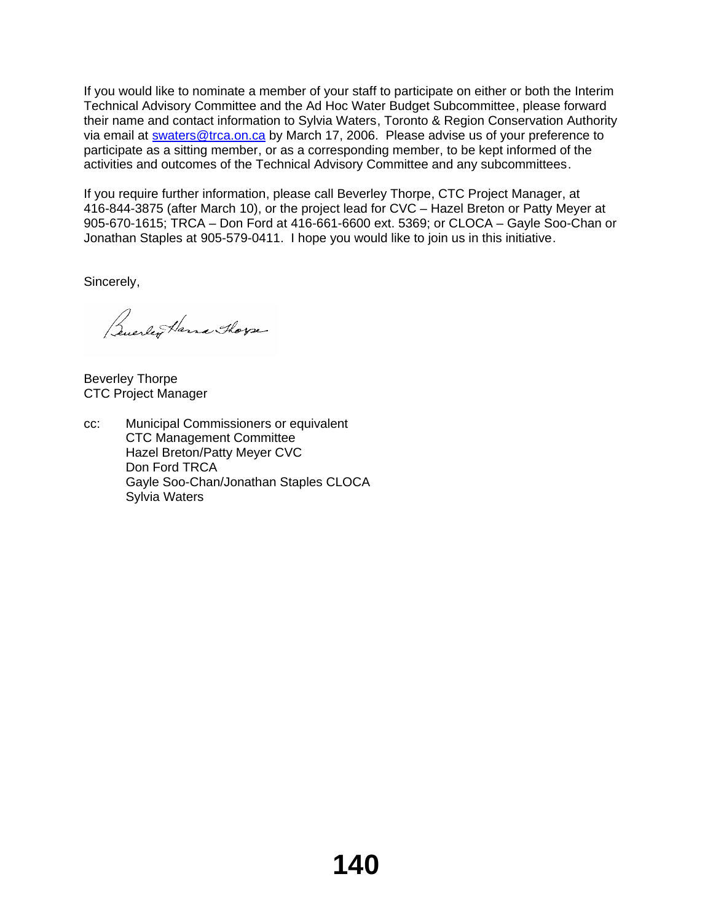If you would like to nominate a member of your staff to participate on either or both the Interim Technical Advisory Committee and the Ad Hoc Water Budget Subcommittee, please forward their name and contact information to Sylvia Waters, Toronto & Region Conservation Authority via email at swaters@trca.on.ca by March 17, 2006. Please advise us of your preference to participate as a sitting member, or as a corresponding member, to be kept informed of the activities and outcomes of the Technical Advisory Committee and any subcommittees.

If you require further information, please call Beverley Thorpe, CTC Project Manager, at 416-844-3875 (after March 10), or the project lead for CVC – Hazel Breton or Patty Meyer at 905-670-1615; TRCA – Don Ford at 416-661-6600 ext. 5369; or CLOCA – Gayle Soo-Chan or Jonathan Staples at 905-579-0411. I hope you would like to join us in this initiative.

Sincerely,

Buerler Harra Thorse

Beverley Thorpe CTC Project Manager

cc: Municipal Commissioners or equivalent CTC Management Committee Hazel Breton/Patty Meyer CVC Don Ford TRCA Gayle Soo-Chan/Jonathan Staples CLOCA Sylvia Waters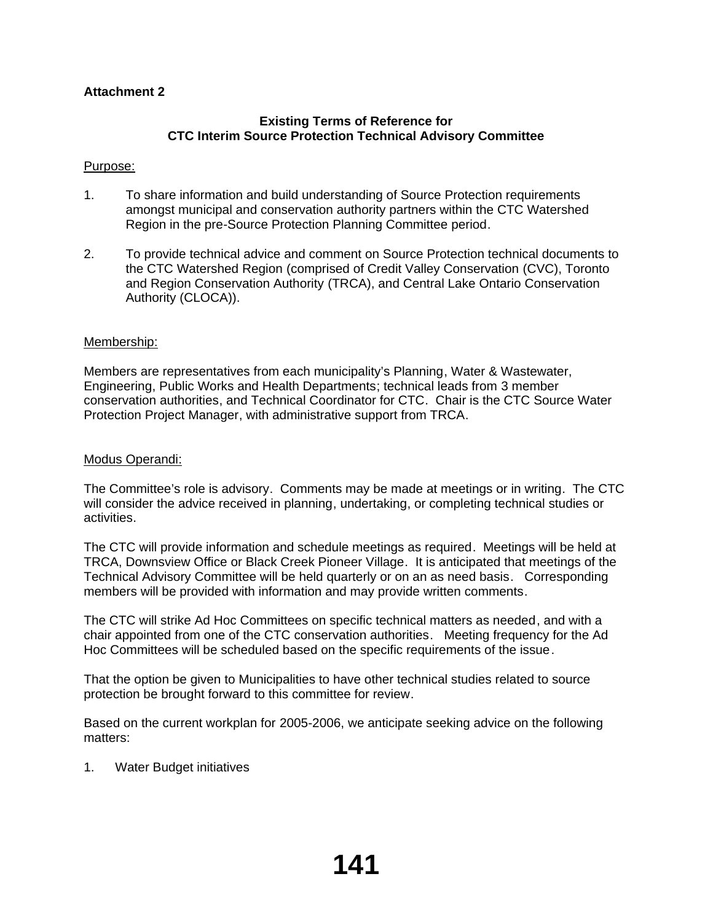# **Attachment 2**

## **Existing Terms of Reference for CTC Interim Source Protection Technical Advisory Committee**

## Purpose:

- 1. To share information and build understanding of Source Protection requirements amongst municipal and conservation authority partners within the CTC Watershed Region in the pre-Source Protection Planning Committee period.
- 2. To provide technical advice and comment on Source Protection technical documents to the CTC Watershed Region (comprised of Credit Valley Conservation (CVC), Toronto and Region Conservation Authority (TRCA), and Central Lake Ontario Conservation Authority (CLOCA)).

## Membership:

Members are representatives from each municipality's Planning, Water & Wastewater, Engineering, Public Works and Health Departments; technical leads from 3 member conservation authorities, and Technical Coordinator for CTC. Chair is the CTC Source Water Protection Project Manager, with administrative support from TRCA.

## Modus Operandi:

The Committee's role is advisory. Comments may be made at meetings or in writing. The CTC will consider the advice received in planning, undertaking, or completing technical studies or activities.

The CTC will provide information and schedule meetings as required. Meetings will be held at TRCA, Downsview Office or Black Creek Pioneer Village. It is anticipated that meetings of the Technical Advisory Committee will be held quarterly or on an as need basis. Corresponding members will be provided with information and may provide written comments.

The CTC will strike Ad Hoc Committees on specific technical matters as needed, and with a chair appointed from one of the CTC conservation authorities. Meeting frequency for the Ad Hoc Committees will be scheduled based on the specific requirements of the issue.

That the option be given to Municipalities to have other technical studies related to source protection be brought forward to this committee for review.

Based on the current workplan for 2005-2006, we anticipate seeking advice on the following matters:

1. Water Budget initiatives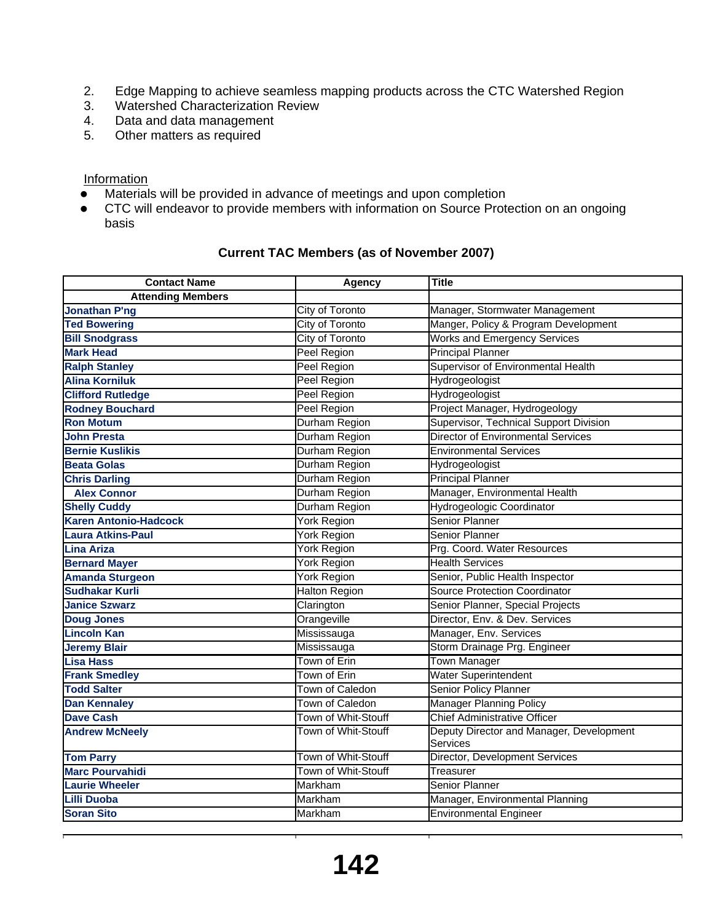- 2. Edge Mapping to achieve seamless mapping products across the CTC Watershed Region
- 3. Watershed Characterization Review
- 4. Data and data management
- 5. Other matters as required

## **Information**

- $\bullet$  Materials will be provided in advance of meetings and upon completion
- CTC will endeavor to provide members with information on Source Protection on an ongoing basis

# **Current TAC Members (as of November 2007)**

| <b>Contact Name</b>          | Agency               | <b>Title</b>                                         |
|------------------------------|----------------------|------------------------------------------------------|
| <b>Attending Members</b>     |                      |                                                      |
| <b>Jonathan P'ng</b>         | City of Toronto      | Manager, Stormwater Management                       |
| <b>Ted Bowering</b>          | City of Toronto      | Manger, Policy & Program Development                 |
| <b>Bill Snodgrass</b>        | City of Toronto      | <b>Works and Emergency Services</b>                  |
| <b>Mark Head</b>             | Peel Region          | <b>Principal Planner</b>                             |
| <b>Ralph Stanley</b>         | Peel Region          | Supervisor of Environmental Health                   |
| <b>Alina Korniluk</b>        | Peel Region          | Hydrogeologist                                       |
| <b>Clifford Rutledge</b>     | Peel Region          | Hydrogeologist                                       |
| <b>Rodney Bouchard</b>       | Peel Region          | Project Manager, Hydrogeology                        |
| <b>Ron Motum</b>             | Durham Region        | Supervisor, Technical Support Division               |
| <b>John Presta</b>           | Durham Region        | <b>Director of Environmental Services</b>            |
| <b>Bernie Kuslikis</b>       | Durham Region        | <b>Environmental Services</b>                        |
| <b>Beata Golas</b>           | Durham Region        | Hydrogeologist                                       |
| <b>Chris Darling</b>         | Durham Region        | <b>Principal Planner</b>                             |
| <b>Alex Connor</b>           | Durham Region        | Manager, Environmental Health                        |
| <b>Shelly Cuddy</b>          | Durham Region        | Hydrogeologic Coordinator                            |
| <b>Karen Antonio-Hadcock</b> | York Region          | <b>Senior Planner</b>                                |
| <b>Laura Atkins-Paul</b>     | York Region          | Senior Planner                                       |
| <b>Lina Ariza</b>            | York Region          | Prg. Coord. Water Resources                          |
| <b>Bernard Mayer</b>         | York Region          | <b>Health Services</b>                               |
| <b>Amanda Sturgeon</b>       | York Region          | Senior, Public Health Inspector                      |
| <b>Sudhakar Kurli</b>        | <b>Halton Region</b> | <b>Source Protection Coordinator</b>                 |
| <b>Janice Szwarz</b>         | Clarington           | Senior Planner, Special Projects                     |
| <b>Doug Jones</b>            | Orangeville          | Director, Env. & Dev. Services                       |
| <b>Lincoln Kan</b>           | Mississauga          | Manager, Env. Services                               |
| <b>Jeremy Blair</b>          | Mississauga          | Storm Drainage Prg. Engineer                         |
| <b>Lisa Hass</b>             | Town of Erin         | <b>Town Manager</b>                                  |
| <b>Frank Smedley</b>         | Town of Erin         | <b>Water Superintendent</b>                          |
| <b>Todd Salter</b>           | Town of Caledon      | <b>Senior Policy Planner</b>                         |
| <b>Dan Kennaley</b>          | Town of Caledon      | <b>Manager Planning Policy</b>                       |
| <b>Dave Cash</b>             | Town of Whit-Stouff  | <b>Chief Administrative Officer</b>                  |
| <b>Andrew McNeely</b>        | Town of Whit-Stouff  | Deputy Director and Manager, Development<br>Services |
| <b>Tom Parry</b>             | Town of Whit-Stouff  | Director, Development Services                       |
| <b>Marc Pourvahidi</b>       | Town of Whit-Stouff  | Treasurer                                            |
| <b>Laurie Wheeler</b>        | Markham              | <b>Senior Planner</b>                                |
| <b>Lilli Duoba</b>           | Markham              | Manager, Environmental Planning                      |
| <b>Soran Sito</b>            | Markham              | <b>Environmental Engineer</b>                        |
|                              |                      |                                                      |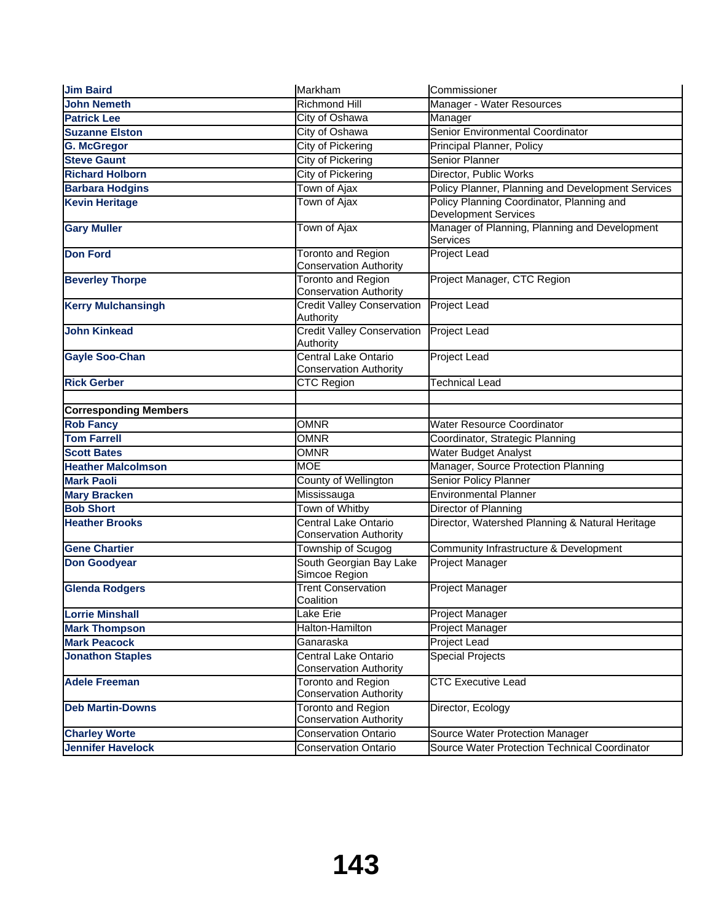| <b>Jim Baird</b>             | Markham                                                    | Commissioner                                                             |
|------------------------------|------------------------------------------------------------|--------------------------------------------------------------------------|
| <b>John Nemeth</b>           | Richmond Hill                                              | Manager - Water Resources                                                |
| <b>Patrick Lee</b>           | City of Oshawa                                             | Manager                                                                  |
| <b>Suzanne Elston</b>        | City of Oshawa                                             | Senior Environmental Coordinator                                         |
| <b>G. McGregor</b>           | City of Pickering                                          | Principal Planner, Policy                                                |
| <b>Steve Gaunt</b>           | City of Pickering                                          | <b>Senior Planner</b>                                                    |
| <b>Richard Holborn</b>       | City of Pickering                                          | Director, Public Works                                                   |
| <b>Barbara Hodgins</b>       | Town of Ajax                                               | Policy Planner, Planning and Development Services                        |
| <b>Kevin Heritage</b>        | <b>Town of Ajax</b>                                        | Policy Planning Coordinator, Planning and<br><b>Development Services</b> |
| <b>Gary Muller</b>           | Town of Ajax                                               | Manager of Planning, Planning and Development<br>Services                |
| <b>Don Ford</b>              | <b>Toronto and Region</b><br><b>Conservation Authority</b> | Project Lead                                                             |
| <b>Beverley Thorpe</b>       | <b>Toronto and Region</b><br><b>Conservation Authority</b> | Project Manager, CTC Region                                              |
| <b>Kerry Mulchansingh</b>    | <b>Credit Valley Conservation</b><br>Authority             | Project Lead                                                             |
| <b>John Kinkead</b>          | <b>Credit Valley Conservation</b><br>Authority             | Project Lead                                                             |
| <b>Gayle Soo-Chan</b>        | Central Lake Ontario<br><b>Conservation Authority</b>      | Project Lead                                                             |
| <b>Rick Gerber</b>           | <b>CTC Region</b>                                          | Technical Lead                                                           |
|                              |                                                            |                                                                          |
| <b>Corresponding Members</b> |                                                            |                                                                          |
| <b>Rob Fancy</b>             | <b>OMNR</b>                                                | Water Resource Coordinator                                               |
| <b>Tom Farrell</b>           | <b>OMNR</b>                                                | Coordinator, Strategic Planning                                          |
| <b>Scott Bates</b>           | <b>OMNR</b>                                                | Water Budget Analyst                                                     |
| <b>Heather Malcolmson</b>    | <b>MOE</b>                                                 | Manager, Source Protection Planning                                      |
| <b>Mark Paoli</b>            | County of Wellington                                       | Senior Policy Planner                                                    |
| <b>Mary Bracken</b>          | Mississauga                                                | <b>Environmental Planner</b>                                             |
| <b>Bob Short</b>             | Town of Whitby                                             | Director of Planning                                                     |
| <b>Heather Brooks</b>        | Central Lake Ontario<br>Conservation Authority             | Director, Watershed Planning & Natural Heritage                          |
| <b>Gene Chartier</b>         | Township of Scugog                                         | Community Infrastructure & Development                                   |
| <b>Don Goodyear</b>          | South Georgian Bay Lake<br>Simcoe Region                   | Project Manager                                                          |
| <b>Glenda Rodgers</b>        | <b>Trent Conservation</b><br>Coalition                     | Project Manager                                                          |
| <b>Lorrie Minshall</b>       | Lake Erie                                                  | Project Manager                                                          |
| <b>Mark Thompson</b>         | Halton-Hamilton                                            | Project Manager                                                          |
| <b>Mark Peacock</b>          | Ganaraska                                                  | Project Lead                                                             |
| <b>Jonathon Staples</b>      | Central Lake Ontario<br><b>Conservation Authority</b>      | <b>Special Projects</b>                                                  |
| <b>Adele Freeman</b>         | Toronto and Region<br><b>Conservation Authority</b>        | <b>CTC Executive Lead</b>                                                |
| <b>Deb Martin-Downs</b>      | <b>Toronto and Region</b><br><b>Conservation Authority</b> | Director, Ecology                                                        |
| <b>Charley Worte</b>         | <b>Conservation Ontario</b>                                | Source Water Protection Manager                                          |
| <b>Jennifer Havelock</b>     | <b>Conservation Ontario</b>                                | Source Water Protection Technical Coordinator                            |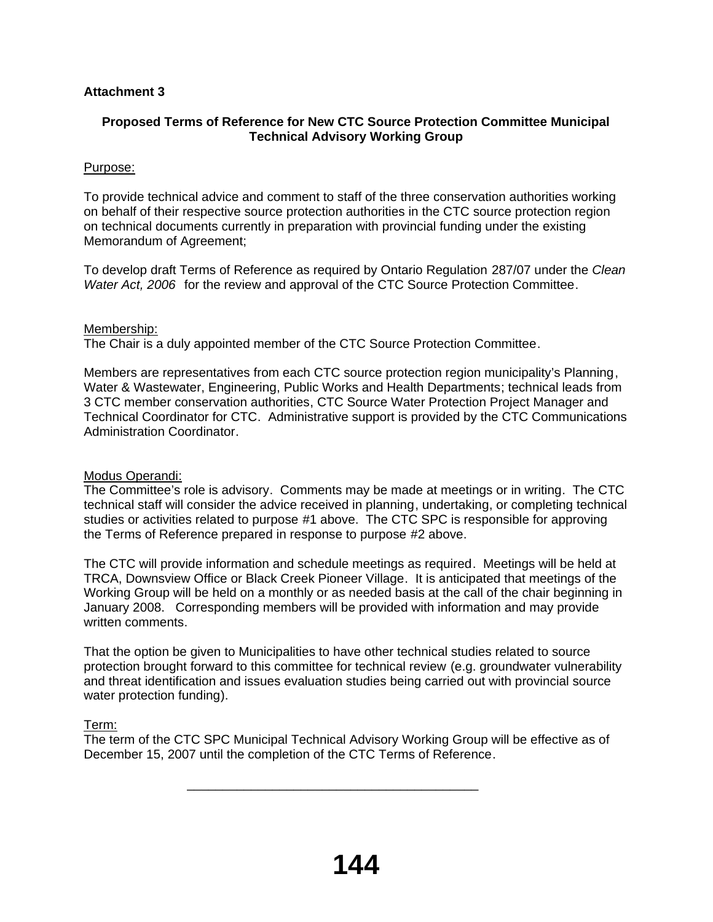# **Attachment 3**

# **Proposed Terms of Reference for New CTC Source Protection Committee Municipal Technical Advisory Working Group**

## Purpose:

To provide technical advice and comment to staff of the three conservation authorities working on behalf of their respective source protection authorities in the CTC source protection region on technical documents currently in preparation with provincial funding under the existing Memorandum of Agreement;

To develop draft Terms of Reference as required by Ontario Regulation 287/07 under the *Clean Water Act, 2006* for the review and approval of the CTC Source Protection Committee.

## Membership:

The Chair is a duly appointed member of the CTC Source Protection Committee.

Members are representatives from each CTC source protection region municipality's Planning, Water & Wastewater, Engineering, Public Works and Health Departments; technical leads from 3 CTC member conservation authorities, CTC Source Water Protection Project Manager and Technical Coordinator for CTC. Administrative support is provided by the CTC Communications Administration Coordinator.

## Modus Operandi:

The Committee's role is advisory. Comments may be made at meetings or in writing. The CTC technical staff will consider the advice received in planning, undertaking, or completing technical studies or activities related to purpose #1 above. The CTC SPC is responsible for approving the Terms of Reference prepared in response to purpose #2 above.

The CTC will provide information and schedule meetings as required. Meetings will be held at TRCA, Downsview Office or Black Creek Pioneer Village. It is anticipated that meetings of the Working Group will be held on a monthly or as needed basis at the call of the chair beginning in January 2008. Corresponding members will be provided with information and may provide written comments.

That the option be given to Municipalities to have other technical studies related to source protection brought forward to this committee for technical review (e.g. groundwater vulnerability and threat identification and issues evaluation studies being carried out with provincial source water protection funding).

## Term:

The term of the CTC SPC Municipal Technical Advisory Working Group will be effective as of December 15, 2007 until the completion of the CTC Terms of Reference.

 $\overline{\phantom{a}}$  ,  $\overline{\phantom{a}}$  ,  $\overline{\phantom{a}}$  ,  $\overline{\phantom{a}}$  ,  $\overline{\phantom{a}}$  ,  $\overline{\phantom{a}}$  ,  $\overline{\phantom{a}}$  ,  $\overline{\phantom{a}}$  ,  $\overline{\phantom{a}}$  ,  $\overline{\phantom{a}}$  ,  $\overline{\phantom{a}}$  ,  $\overline{\phantom{a}}$  ,  $\overline{\phantom{a}}$  ,  $\overline{\phantom{a}}$  ,  $\overline{\phantom{a}}$  ,  $\overline{\phantom{a}}$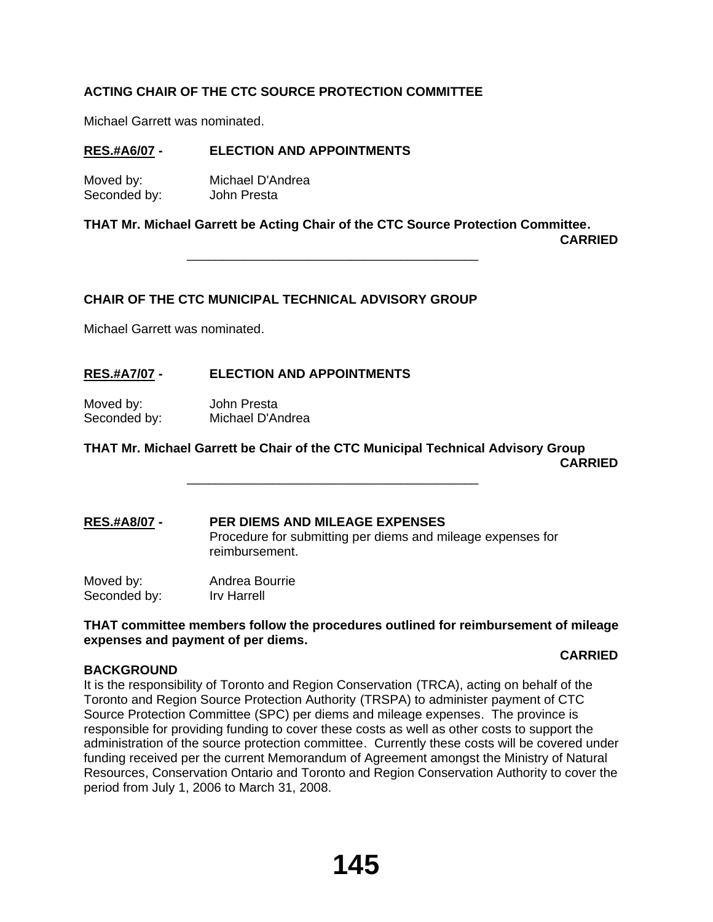# **ACTING CHAIR OF THE CTC SOURCE PROTECTION COMMITTEE**

Michael Garrett was nominated.

## **RES.#A6/07 - ELECTION AND APPOINTMENTS**

Moved by: Michael D'Andrea Seconded by: John Presta

**THAT Mr. Michael Garrett be Acting Chair of the CTC Source Protection Committee.**

**CARRIED**

## **CHAIR OF THE CTC MUNICIPAL TECHNICAL ADVISORY GROUP**

 $\overline{\phantom{a}}$  ,  $\overline{\phantom{a}}$  ,  $\overline{\phantom{a}}$  ,  $\overline{\phantom{a}}$  ,  $\overline{\phantom{a}}$  ,  $\overline{\phantom{a}}$  ,  $\overline{\phantom{a}}$  ,  $\overline{\phantom{a}}$  ,  $\overline{\phantom{a}}$  ,  $\overline{\phantom{a}}$  ,  $\overline{\phantom{a}}$  ,  $\overline{\phantom{a}}$  ,  $\overline{\phantom{a}}$  ,  $\overline{\phantom{a}}$  ,  $\overline{\phantom{a}}$  ,  $\overline{\phantom{a}}$ 

 $\overline{\phantom{a}}$  ,  $\overline{\phantom{a}}$  ,  $\overline{\phantom{a}}$  ,  $\overline{\phantom{a}}$  ,  $\overline{\phantom{a}}$  ,  $\overline{\phantom{a}}$  ,  $\overline{\phantom{a}}$  ,  $\overline{\phantom{a}}$  ,  $\overline{\phantom{a}}$  ,  $\overline{\phantom{a}}$  ,  $\overline{\phantom{a}}$  ,  $\overline{\phantom{a}}$  ,  $\overline{\phantom{a}}$  ,  $\overline{\phantom{a}}$  ,  $\overline{\phantom{a}}$  ,  $\overline{\phantom{a}}$ 

Michael Garrett was nominated.

# **RES.#A7/07 - ELECTION AND APPOINTMENTS**

Moved by: John Presta Seconded by: Michael D'Andrea

## **THAT Mr. Michael Garrett be Chair of the CTC Municipal Technical Advisory Group CARRIED**

**RES.#A8/07 - PER DIEMS AND MILEAGE EXPENSES** Procedure for submitting per diems and mileage expenses for reimbursement.

Moved by: Andrea Bourrie Seconded by: Irv Harrell

**BACKGROUND**

## **THAT committee members follow the procedures outlined for reimbursement of mileage expenses and payment of per diems.**

## **CARRIED**

It is the responsibility of Toronto and Region Conservation (TRCA), acting on behalf of the Toronto and Region Source Protection Authority (TRSPA) to administer payment of CTC Source Protection Committee (SPC) per diems and mileage expenses. The province is responsible for providing funding to cover these costs as well as other costs to support the administration of the source protection committee. Currently these costs will be covered under funding received per the current Memorandum of Agreement amongst the Ministry of Natural Resources, Conservation Ontario and Toronto and Region Conservation Authority to cover the period from July 1, 2006 to March 31, 2008.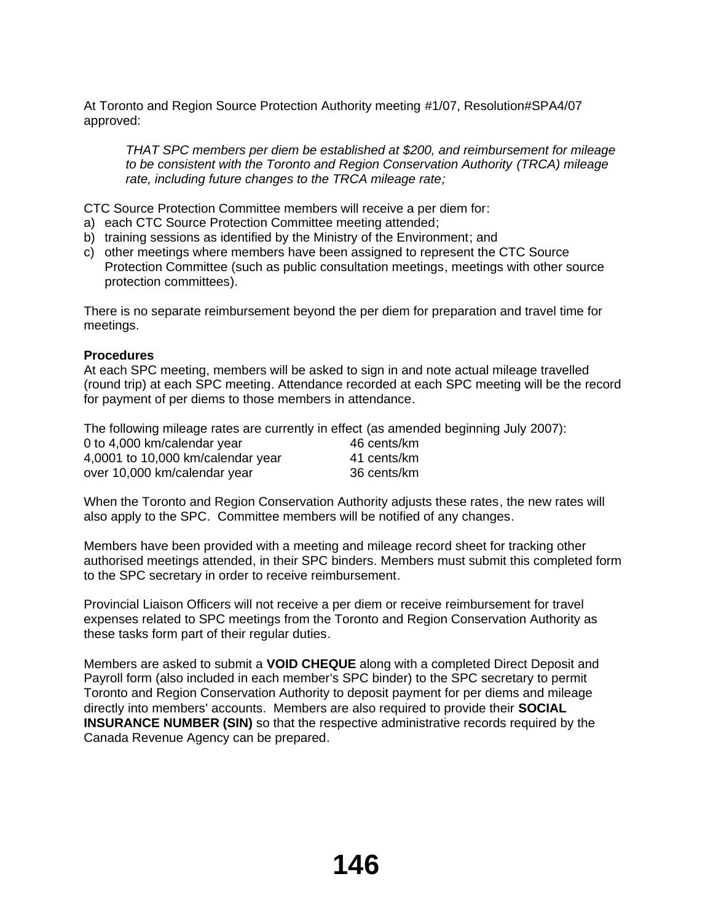At Toronto and Region Source Protection Authority meeting #1/07, Resolution#SPA4/07 approved:

*THAT SPC members per diem be established at \$200, and reimbursement for mileage to be consistent with the Toronto and Region Conservation Authority (TRCA) mileage rate, including future changes to the TRCA mileage rate;*

CTC Source Protection Committee members will receive a per diem for:

- a) each CTC Source Protection Committee meeting attended;
- b) training sessions as identified by the Ministry of the Environment; and
- c) other meetings where members have been assigned to represent the CTC Source Protection Committee (such as public consultation meetings, meetings with other source protection committees).

There is no separate reimbursement beyond the per diem for preparation and travel time for meetings.

## **Procedures**

At each SPC meeting, members will be asked to sign in and note actual mileage travelled (round trip) at each SPC meeting. Attendance recorded at each SPC meeting will be the record for payment of per diems to those members in attendance.

The following mileage rates are currently in effect (as amended beginning July 2007):

| 0 to 4,000 km/calendar year       | 46 cents/km |
|-----------------------------------|-------------|
| 4,0001 to 10,000 km/calendar year | 41 cents/km |
| over 10,000 km/calendar year      | 36 cents/km |

When the Toronto and Region Conservation Authority adjusts these rates, the new rates will also apply to the SPC. Committee members will be notified of any changes.

Members have been provided with a meeting and mileage record sheet for tracking other authorised meetings attended, in their SPC binders. Members must submit this completed form to the SPC secretary in order to receive reimbursement.

Provincial Liaison Officers will not receive a per diem or receive reimbursement for travel expenses related to SPC meetings from the Toronto and Region Conservation Authority as these tasks form part of their regular duties.

Members are asked to submit a **VOID CHEQUE** along with a completed Direct Deposit and Payroll form (also included in each member's SPC binder) to the SPC secretary to permit Toronto and Region Conservation Authority to deposit payment for per diems and mileage directly into members' accounts. Members are also required to provide their **SOCIAL INSURANCE NUMBER (SIN)** so that the respective administrative records required by the Canada Revenue Agency can be prepared.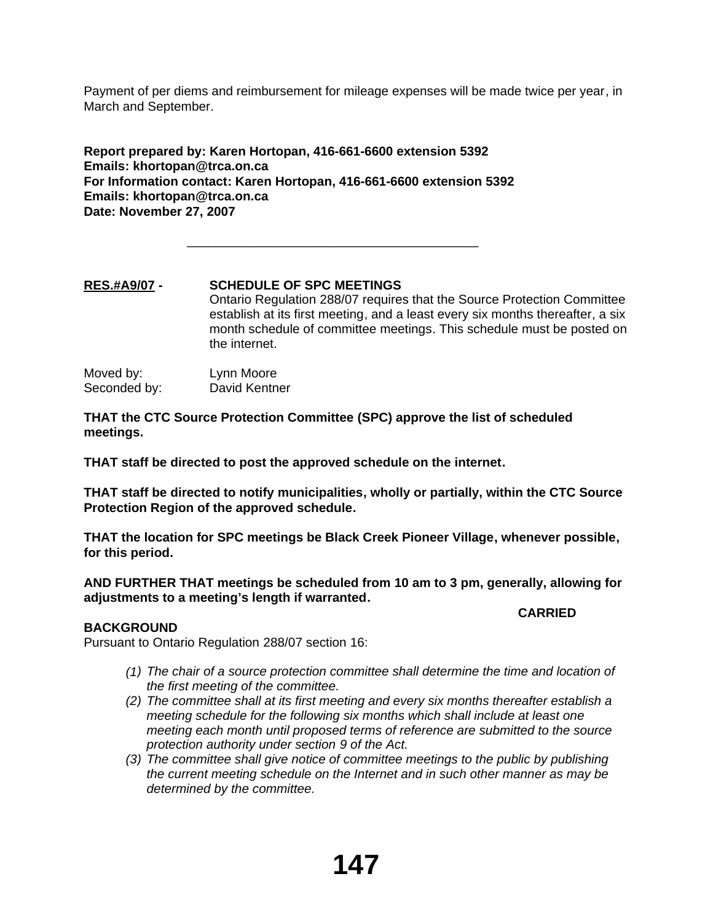Payment of per diems and reimbursement for mileage expenses will be made twice per year, in March and September.

**Report prepared by: Karen Hortopan, 416-661-6600 extension 5392 Emails: khortopan@trca.on.ca For Information contact: Karen Hortopan, 416-661-6600 extension 5392 Emails: khortopan@trca.on.ca Date: November 27, 2007**

 $\overline{\phantom{a}}$  ,  $\overline{\phantom{a}}$  ,  $\overline{\phantom{a}}$  ,  $\overline{\phantom{a}}$  ,  $\overline{\phantom{a}}$  ,  $\overline{\phantom{a}}$  ,  $\overline{\phantom{a}}$  ,  $\overline{\phantom{a}}$  ,  $\overline{\phantom{a}}$  ,  $\overline{\phantom{a}}$  ,  $\overline{\phantom{a}}$  ,  $\overline{\phantom{a}}$  ,  $\overline{\phantom{a}}$  ,  $\overline{\phantom{a}}$  ,  $\overline{\phantom{a}}$  ,  $\overline{\phantom{a}}$ 

# **RES.#A9/07 - SCHEDULE OF SPC MEETINGS** Ontario Regulation 288/07 requires that the Source Protection Committee establish at its first meeting, and a least every six months thereafter, a six month schedule of committee meetings. This schedule must be posted on the internet. Moved by: Lynn Moore

Seconded by: David Kentner

**THAT the CTC Source Protection Committee (SPC) approve the list of scheduled meetings.**

**THAT staff be directed to post the approved schedule on the internet.**

**THAT staff be directed to notify municipalities, wholly or partially, within the CTC Source Protection Region of the approved schedule.**

**THAT the location for SPC meetings be Black Creek Pioneer Village, whenever possible, for this period.**

**AND FURTHER THAT meetings be scheduled from 10 am to 3 pm, generally, allowing for adjustments to a meeting's length if warranted.**

## **BACKGROUND**

Pursuant to Ontario Regulation 288/07 section 16:

*(1) The chair of a source protection committee shall determine the time and location of the first meeting of the committee.*

**CARRIED**

- *(2) The committee shall at its first meeting and every six months thereafter establish a meeting schedule for the following six months which shall include at least one meeting each month until proposed terms of reference are submitted to the source protection authority under section 9 of the Act.*
- *(3) The committee shall give notice of committee meetings to the public by publishing the current meeting schedule on the Internet and in such other manner as may be determined by the committee.*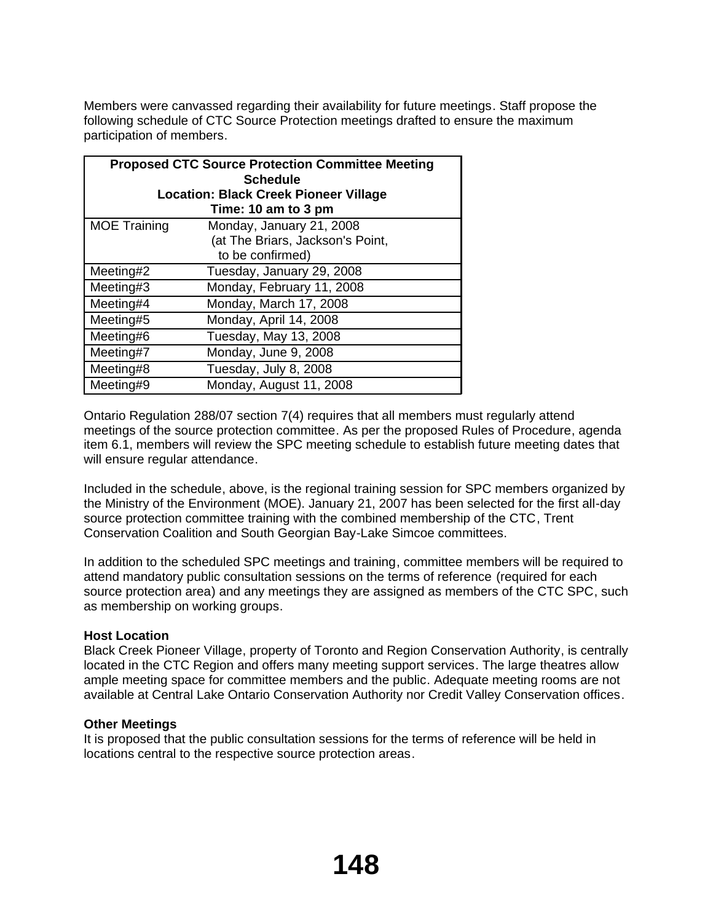Members were canvassed regarding their availability for future meetings. Staff propose the following schedule of CTC Source Protection meetings drafted to ensure the maximum participation of members.

| <b>Proposed CTC Source Protection Committee Meeting</b> |                           |  |
|---------------------------------------------------------|---------------------------|--|
| <b>Schedule</b>                                         |                           |  |
| <b>Location: Black Creek Pioneer Village</b>            |                           |  |
|                                                         | Time: 10 am to 3 pm       |  |
| <b>MOE Training</b>                                     | Monday, January 21, 2008  |  |
| (at The Briars, Jackson's Point,                        |                           |  |
| to be confirmed)                                        |                           |  |
| Meeting#2                                               | Tuesday, January 29, 2008 |  |
| Monday, February 11, 2008<br>Meeting#3                  |                           |  |
| Monday, March 17, 2008<br>Meeting#4                     |                           |  |
| Monday, April 14, 2008<br>Meeting#5                     |                           |  |
| Tuesday, May 13, 2008<br>Meeting#6                      |                           |  |
| Meeting#7                                               | Monday, June 9, 2008      |  |
| Meeting#8                                               | Tuesday, July 8, 2008     |  |
| Meeting#9                                               | Monday, August 11, 2008   |  |

Ontario Regulation 288/07 section 7(4) requires that all members must regularly attend meetings of the source protection committee. As per the proposed Rules of Procedure, agenda item 6.1, members will review the SPC meeting schedule to establish future meeting dates that will ensure regular attendance.

Included in the schedule, above, is the regional training session for SPC members organized by the Ministry of the Environment (MOE). January 21, 2007 has been selected for the first all-day source protection committee training with the combined membership of the CTC, Trent Conservation Coalition and South Georgian Bay-Lake Simcoe committees.

In addition to the scheduled SPC meetings and training, committee members will be required to attend mandatory public consultation sessions on the terms of reference (required for each source protection area) and any meetings they are assigned as members of the CTC SPC, such as membership on working groups.

## **Host Location**

Black Creek Pioneer Village, property of Toronto and Region Conservation Authority, is centrally located in the CTC Region and offers many meeting support services. The large theatres allow ample meeting space for committee members and the public. Adequate meeting rooms are not available at Central Lake Ontario Conservation Authority nor Credit Valley Conservation offices.

## **Other Meetings**

It is proposed that the public consultation sessions for the terms of reference will be held in locations central to the respective source protection areas.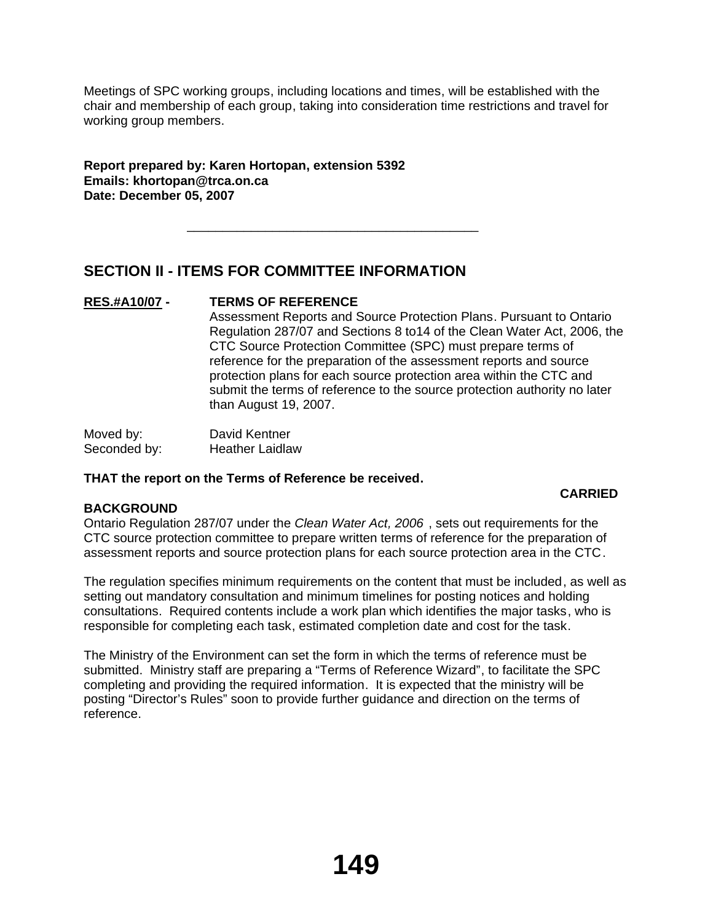Meetings of SPC working groups, including locations and times, will be established with the chair and membership of each group, taking into consideration time restrictions and travel for working group members.

**Report prepared by: Karen Hortopan, extension 5392 Emails: khortopan@trca.on.ca Date: December 05, 2007**

# **SECTION II - ITEMS FOR COMMITTEE INFORMATION**

 $\overline{\phantom{a}}$  ,  $\overline{\phantom{a}}$  ,  $\overline{\phantom{a}}$  ,  $\overline{\phantom{a}}$  ,  $\overline{\phantom{a}}$  ,  $\overline{\phantom{a}}$  ,  $\overline{\phantom{a}}$  ,  $\overline{\phantom{a}}$  ,  $\overline{\phantom{a}}$  ,  $\overline{\phantom{a}}$  ,  $\overline{\phantom{a}}$  ,  $\overline{\phantom{a}}$  ,  $\overline{\phantom{a}}$  ,  $\overline{\phantom{a}}$  ,  $\overline{\phantom{a}}$  ,  $\overline{\phantom{a}}$ 

## **RES.#A10/07 - TERMS OF REFERENCE**

Assessment Reports and Source Protection Plans. Pursuant to Ontario Regulation 287/07 and Sections 8 to14 of the Clean Water Act, 2006, the CTC Source Protection Committee (SPC) must prepare terms of reference for the preparation of the assessment reports and source protection plans for each source protection area within the CTC and submit the terms of reference to the source protection authority no later than August 19, 2007.

**CARRIED**

Moved by: David Kentner Seconded by: Heather Laidlaw

## **THAT the report on the Terms of Reference be received.**

## **BACKGROUND**

# Ontario Regulation 287/07 under the *Clean Water Act, 2006* , sets out requirements for the CTC source protection committee to prepare written terms of reference for the preparation of assessment reports and source protection plans for each source protection area in the CTC.

The regulation specifies minimum requirements on the content that must be included, as well as setting out mandatory consultation and minimum timelines for posting notices and holding consultations. Required contents include a work plan which identifies the major tasks, who is responsible for completing each task, estimated completion date and cost for the task.

The Ministry of the Environment can set the form in which the terms of reference must be submitted. Ministry staff are preparing a "Terms of Reference Wizard", to facilitate the SPC completing and providing the required information. It is expected that the ministry will be posting "Director's Rules" soon to provide further guidance and direction on the terms of reference.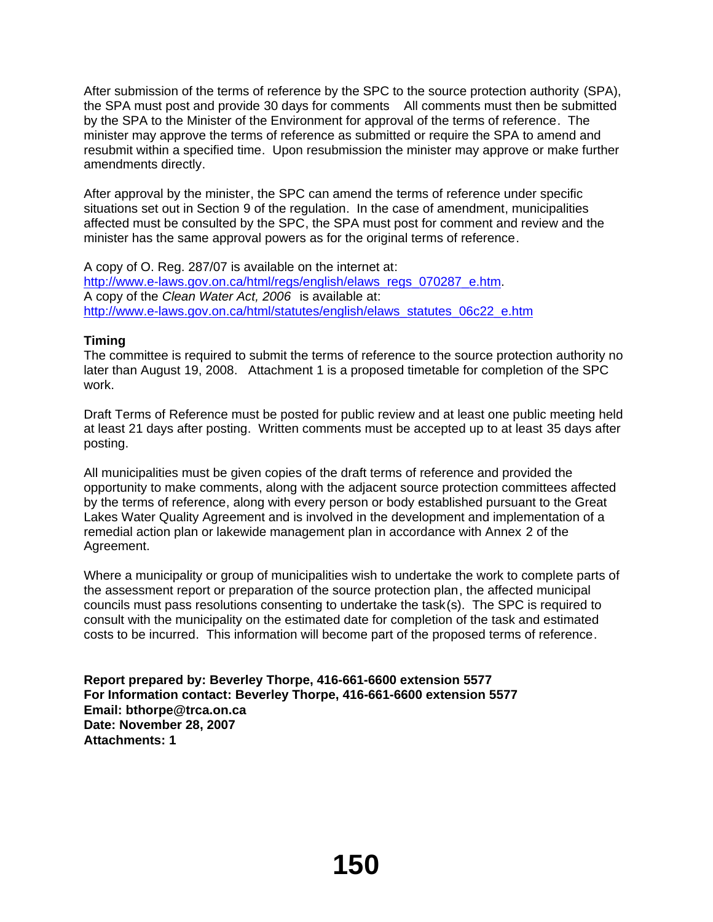After submission of the terms of reference by the SPC to the source protection authority (SPA), the SPA must post and provide 30 days for comments All comments must then be submitted by the SPA to the Minister of the Environment for approval of the terms of reference. The minister may approve the terms of reference as submitted or require the SPA to amend and resubmit within a specified time. Upon resubmission the minister may approve or make further amendments directly.

After approval by the minister, the SPC can amend the terms of reference under specific situations set out in Section 9 of the regulation. In the case of amendment, municipalities affected must be consulted by the SPC, the SPA must post for comment and review and the minister has the same approval powers as for the original terms of reference.

A copy of O. Reg. 287/07 is available on the internet at: http://www.e-laws.gov.on.ca/html/regs/english/elaws\_regs\_070287\_e.htm. A copy of the *Clean Water Act, 2006* is available at: http://www.e-laws.gov.on.ca/html/statutes/english/elaws\_statutes\_06c22\_e.htm

# **Timing**

The committee is required to submit the terms of reference to the source protection authority no later than August 19, 2008. Attachment 1 is a proposed timetable for completion of the SPC work.

Draft Terms of Reference must be posted for public review and at least one public meeting held at least 21 days after posting. Written comments must be accepted up to at least 35 days after posting.

All municipalities must be given copies of the draft terms of reference and provided the opportunity to make comments, along with the adjacent source protection committees affected by the terms of reference, along with every person or body established pursuant to the Great Lakes Water Quality Agreement and is involved in the development and implementation of a remedial action plan or lakewide management plan in accordance with Annex 2 of the Agreement.

Where a municipality or group of municipalities wish to undertake the work to complete parts of the assessment report or preparation of the source protection plan, the affected municipal councils must pass resolutions consenting to undertake the task(s). The SPC is required to consult with the municipality on the estimated date for completion of the task and estimated costs to be incurred. This information will become part of the proposed terms of reference.

**Report prepared by: Beverley Thorpe, 416-661-6600 extension 5577 For Information contact: Beverley Thorpe, 416-661-6600 extension 5577 Email: bthorpe@trca.on.ca Date: November 28, 2007 Attachments: 1**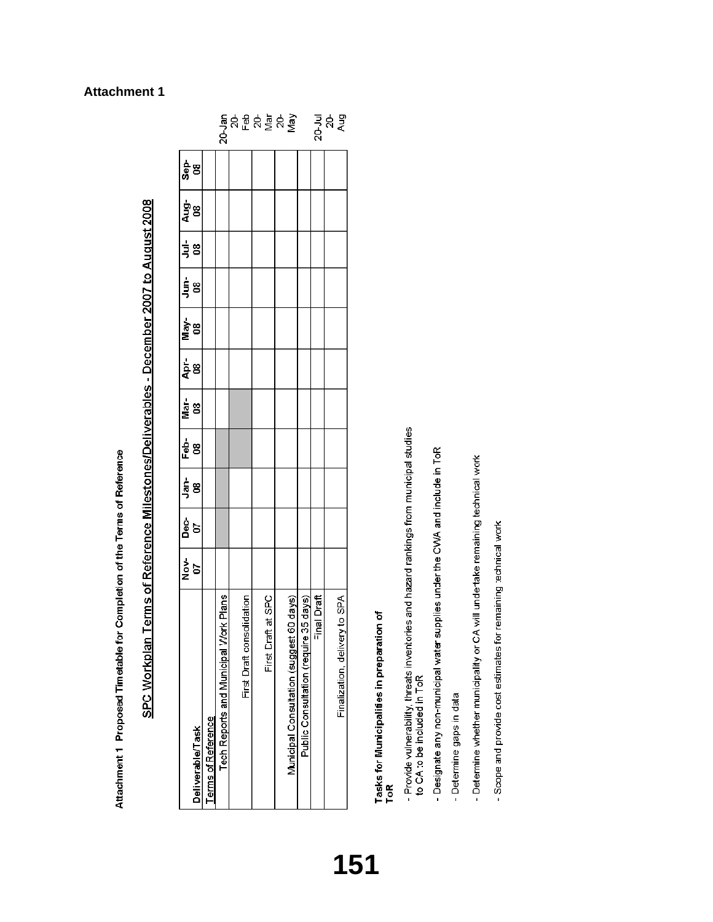Attachment 1 Proposed Timetable for Completion of the Terms of Reference

SPC Workplan Terms of Reference Milestones/Deliverables - December 2007 to August 2008

| Deliverable/Task                            | Nov-<br>07 | န် ခ<br><u>ရ</u> ိ | နဲ့ ဗွ | Mar-<br>08 | <u>ភ្នំ</u><br>ខ្ញុំ | រ<br>ទីខ | ຼ່ <sub>ງ</sub> ຮ | $\begin{array}{c}\n\frac{1}{3} \\ \end{array}$ | $rac{1}{4}$ 8 | န္တံ<br>အီ |                                 |
|---------------------------------------------|------------|--------------------|--------|------------|----------------------|----------|-------------------|------------------------------------------------|---------------|------------|---------------------------------|
| Terms of Reference                          |            |                    |        |            |                      |          |                   |                                                |               |            |                                 |
| rk Plans<br>Tech Reports and Municipal Wor  |            |                    |        |            |                      |          |                   |                                                |               |            |                                 |
|                                             |            |                    |        |            |                      |          |                   |                                                |               |            |                                 |
| First Draft consolidation                   |            |                    |        |            |                      |          |                   |                                                |               |            |                                 |
|                                             |            |                    |        |            |                      |          |                   |                                                |               |            |                                 |
| at SPC<br>First Draft                       |            |                    |        |            |                      |          |                   |                                                |               |            |                                 |
|                                             |            |                    |        |            |                      |          |                   |                                                |               |            |                                 |
| 30 days)<br>Municipal Consultation (suggest |            |                    |        |            |                      |          |                   |                                                |               |            | ៖<br>ក្នុង មិន់ ទីនុទ្ធិ<br>ក្ត |
| 35 days)<br>Public Consultation (require 3  |            |                    |        |            |                      |          |                   |                                                |               |            |                                 |
| hal Draft                                   |            |                    |        |            |                      |          |                   |                                                |               |            |                                 |
|                                             |            |                    |        |            |                      |          |                   |                                                |               |            | ್ದ ನಿ<br>ನ<br>ನಿ                |
| yto SPA<br>Finalization, delivery           |            |                    |        |            |                      |          |                   |                                                |               |            |                                 |

# Tasks for Municipalities in preparation of<br>ToR

- Provide vulnerability, threats inventories and hazard rankings from municipal studies<br>to CA to be included in ToR
	-
- Designate any non-municipal water supplies under the CWA and include in ToR
- Determine gaps in data
- Determine whether municipality or CA will undertake remaining technical work
- Scope and provide cost estimates for remaining technical work

# **Attachment 1**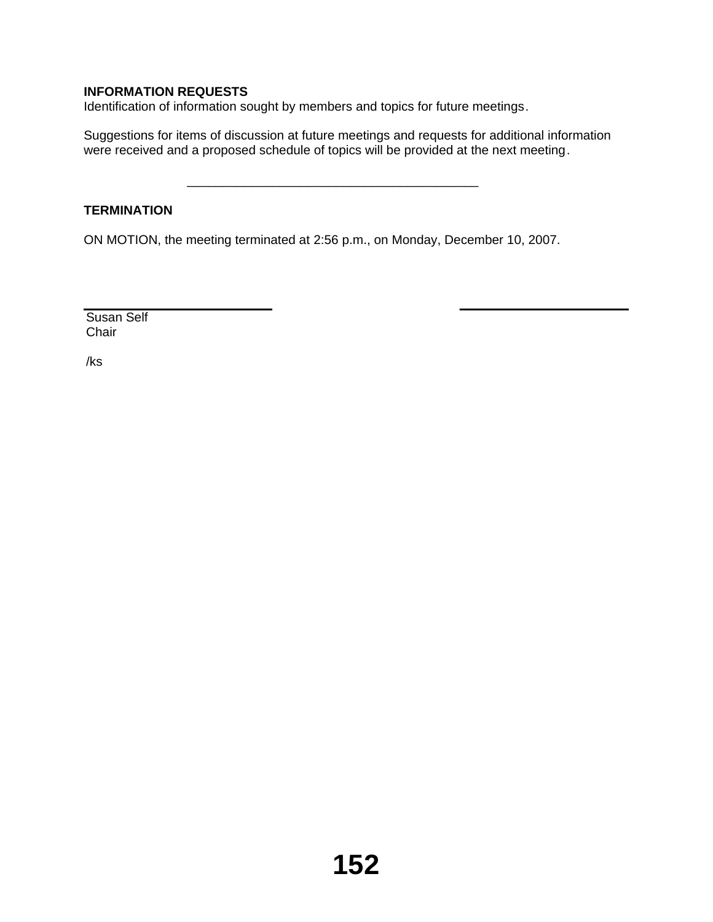# **INFORMATION REQUESTS**

Identification of information sought by members and topics for future meetings.

 $\overline{\phantom{a}}$  ,  $\overline{\phantom{a}}$  ,  $\overline{\phantom{a}}$  ,  $\overline{\phantom{a}}$  ,  $\overline{\phantom{a}}$  ,  $\overline{\phantom{a}}$  ,  $\overline{\phantom{a}}$  ,  $\overline{\phantom{a}}$  ,  $\overline{\phantom{a}}$  ,  $\overline{\phantom{a}}$  ,  $\overline{\phantom{a}}$  ,  $\overline{\phantom{a}}$  ,  $\overline{\phantom{a}}$  ,  $\overline{\phantom{a}}$  ,  $\overline{\phantom{a}}$  ,  $\overline{\phantom{a}}$ 

Suggestions for items of discussion at future meetings and requests for additional information were received and a proposed schedule of topics will be provided at the next meeting.

## **TERMINATION**

ON MOTION, the meeting terminated at 2:56 p.m., on Monday, December 10, 2007.

Susan Self **Chair** 

/ks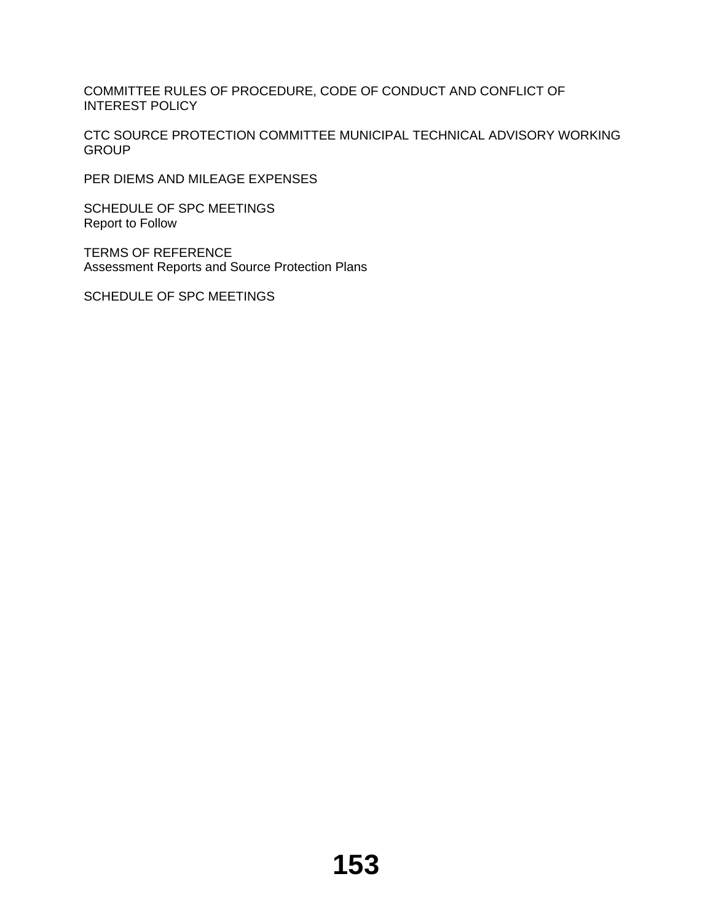COMMITTEE RULES OF PROCEDURE, CODE OF CONDUCT AND CONFLICT OF INTEREST POLICY

CTC SOURCE PROTECTION COMMITTEE MUNICIPAL TECHNICAL ADVISORY WORKING **GROUP** 

PER DIEMS AND MILEAGE EXPENSES

SCHEDULE OF SPC MEETINGS Report to Follow

TERMS OF REFERENCE Assessment Reports and Source Protection Plans

SCHEDULE OF SPC MEETINGS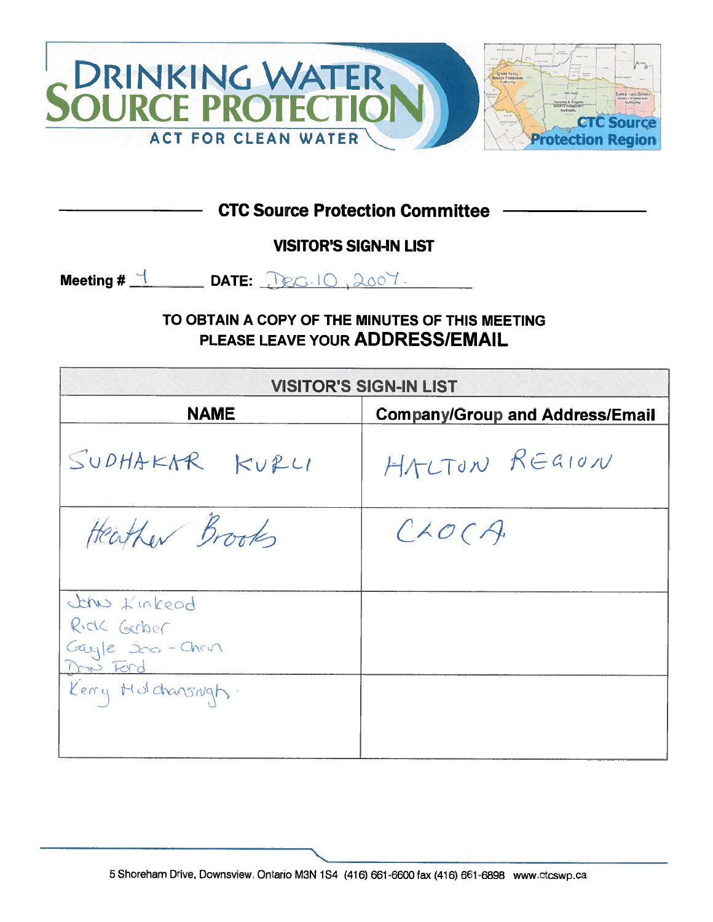

**CTC Source Protection Committee -**

**VISITOR'S SIGN-IN LIST** 

Meeting  $\#$   $\frac{1}{\sqrt{2}}$  DATE:  $\text{Dec.10, }2007$ .

TO OBTAIN A COPY OF THE MINUTES OF THIS MEETING PLEASE LEAVE YOUR ADDRESS/EMAIL

|                     | <b>VISITOR'S SIGN-IN LIST</b>          |
|---------------------|----------------------------------------|
| <b>NAME</b>         | <b>Company/Group and Address/Email</b> |
| SUDHAKAR KURLI      | HALTON REGION                          |
| Heather Brooks      | CAOCA                                  |
|                     |                                        |
| John Kinkead        |                                        |
| Rick Gerber         |                                        |
| Cayle 500-Chevr     |                                        |
| m Ford              |                                        |
| Kerry Mulchansingh. |                                        |
|                     |                                        |
|                     |                                        |